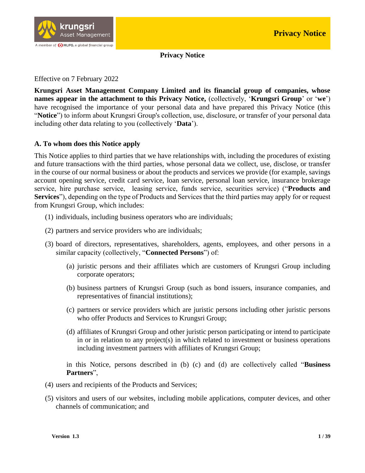

**Privacy Notice**

Effective on 7 February 2022

**Krungsri Asset Management Company Limited and its financial group of companies, whose names appear in the attachment to this Privacy Notice,** (collectively, '**Krungsri Group**' or '**we**') have recognised the importance of your personal data and have prepared this Privacy Notice (this "**Notice**") to inform about Krungsri Group's collection, use, disclosure, or transfer of your personal data including other data relating to you (collectively '**Data**').

#### **A. To whom does this Notice apply**

This Notice applies to third parties that we have relationships with, including the procedures of existing and future transactions with the third parties, whose personal data we collect, use, disclose, or transfer in the course of our normal business or about the products and services we provide (for example, savings account opening service, credit card service, loan service, personal loan service, insurance brokerage service, hire purchase service, leasing service, funds service, securities service) ("**Products and Services**"), depending on the type of Products and Services that the third parties may apply for or request from Krungsri Group, which includes:

- (1) individuals, including business operators who are individuals;
- (2) partners and service providers who are individuals;
- (3) board of directors, representatives, shareholders, agents, employees, and other persons in a similar capacity (collectively, "**Connected Persons**") of:
	- (a) juristic persons and their affiliates which are customers of Krungsri Group including corporate operators;
	- (b) business partners of Krungsri Group (such as bond issuers, insurance companies, and representatives of financial institutions);
	- (c) partners or service providers which are juristic persons including other juristic persons who offer Products and Services to Krungsri Group;
	- (d) affiliates of Krungsri Group and other juristic person participating or intend to participate in or in relation to any project(s) in which related to investment or business operations including investment partners with affiliates of Krungsri Group;

in this Notice, persons described in (b) (c) and (d) are collectively called "**Business Partners**",

- (4) users and recipients of the Products and Services;
- (5) visitors and users of our websites, including mobile applications, computer devices, and other channels of communication; and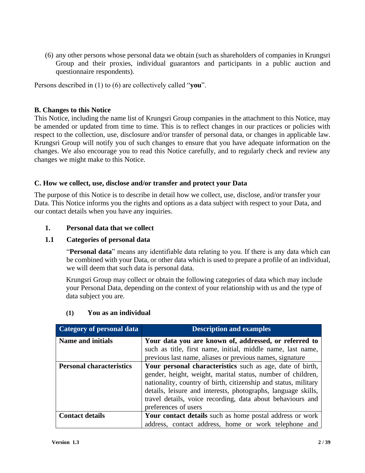(6) any other persons whose personal data we obtain (such as shareholders of companies in Krungsri Group and their proxies, individual guarantors and participants in a public auction and questionnaire respondents).

Persons described in (1) to (6) are collectively called "**you**".

#### **B. Changes to this Notice**

This Notice, including the name list of Krungsri Group companies in the attachment to this Notice, may be amended or updated from time to time. This is to reflect changes in our practices or policies with respect to the collection, use, disclosure and/or transfer of personal data, or changes in applicable law. Krungsri Group will notify you of such changes to ensure that you have adequate information on the changes. We also encourage you to read this Notice carefully, and to regularly check and review any changes we might make to this Notice.

#### **C. How we collect, use, disclose and/or transfer and protect your Data**

The purpose of this Notice is to describe in detail how we collect, use, disclose, and/or transfer your Data. This Notice informs you the rights and options as a data subject with respect to your Data, and our contact details when you have any inquiries.

#### **1. Personal data that we collect**

#### **1.1 Categories of personal data**

"**Personal data**" means any identifiable data relating to you. If there is any data which can be combined with your Data, or other data which is used to prepare a profile of an individual, we will deem that such data is personal data.

Krungsri Group may collect or obtain the following categories of data which may include your Personal Data, depending on the context of your relationship with us and the type of data subject you are.

| Category of personal data       | <b>Description and examples</b>                                                                                                                                                                                                                                                                                                                    |
|---------------------------------|----------------------------------------------------------------------------------------------------------------------------------------------------------------------------------------------------------------------------------------------------------------------------------------------------------------------------------------------------|
| <b>Name and initials</b>        | Your data you are known of, addressed, or referred to                                                                                                                                                                                                                                                                                              |
|                                 | such as title, first name, initial, middle name, last name,                                                                                                                                                                                                                                                                                        |
|                                 | previous last name, aliases or previous names, signature                                                                                                                                                                                                                                                                                           |
| <b>Personal characteristics</b> | Your personal characteristics such as age, date of birth,<br>gender, height, weight, marital status, number of children,<br>nationality, country of birth, citizenship and status, military<br>details, leisure and interests, photographs, language skills,<br>travel details, voice recording, data about behaviours and<br>preferences of users |
| <b>Contact details</b>          | Your contact details such as home postal address or work<br>address, contact address, home or work telephone and                                                                                                                                                                                                                                   |

#### **(1) You as an individual**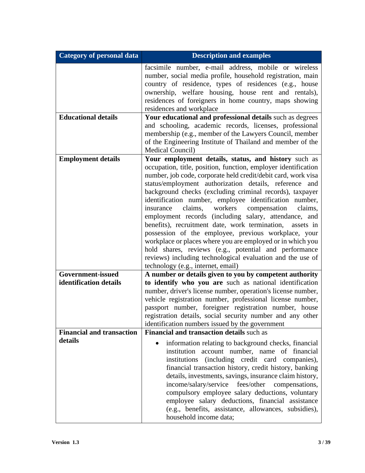| <b>Category of personal data</b>            | <b>Description and examples</b>                                                                                                                                                                                                                                                                                                                                                                                                                                                                                                                                                                                                                                                                                                                                                                                                               |
|---------------------------------------------|-----------------------------------------------------------------------------------------------------------------------------------------------------------------------------------------------------------------------------------------------------------------------------------------------------------------------------------------------------------------------------------------------------------------------------------------------------------------------------------------------------------------------------------------------------------------------------------------------------------------------------------------------------------------------------------------------------------------------------------------------------------------------------------------------------------------------------------------------|
|                                             | facsimile number, e-mail address, mobile or wireless<br>number, social media profile, household registration, main<br>country of residence, types of residences (e.g., house<br>ownership, welfare housing, house rent and rentals),<br>residences of foreigners in home country, maps showing<br>residences and workplace                                                                                                                                                                                                                                                                                                                                                                                                                                                                                                                    |
| <b>Educational details</b>                  | Your educational and professional details such as degrees<br>and schooling, academic records, licenses, professional<br>membership (e.g., member of the Lawyers Council, member<br>of the Engineering Institute of Thailand and member of the<br>Medical Council)                                                                                                                                                                                                                                                                                                                                                                                                                                                                                                                                                                             |
| <b>Employment details</b>                   | Your employment details, status, and history such as<br>occupation, title, position, function, employer identification<br>number, job code, corporate held credit/debit card, work visa<br>status/employment authorization details, reference and<br>background checks (excluding criminal records), taxpayer<br>identification number, employee identification number,<br>claims, workers<br>compensation<br>insurance<br>claims,<br>employment records (including salary, attendance, and<br>benefits), recruitment date, work termination,<br>assets in<br>possession of the employee, previous workplace, your<br>workplace or places where you are employed or in which you<br>hold shares, reviews (e.g., potential and performance<br>reviews) including technological evaluation and the use of<br>technology (e.g., internet, email) |
| Government-issued<br>identification details | A number or details given to you by competent authority<br>to identify who you are such as national identification<br>number, driver's license number, operation's license number,<br>vehicle registration number, professional license number,<br>passport number, foreigner registration number, house<br>registration details, social security number and any other<br>identification numbers issued by the government                                                                                                                                                                                                                                                                                                                                                                                                                     |
| <b>Financial and transaction</b><br>details | <b>Financial and transaction details such as</b><br>information relating to background checks, financial<br>institution account number, name of financial<br>(including credit card companies),<br>institutions<br>financial transaction history, credit history, banking<br>details, investments, savings, insurance claim history,<br>fees/other<br>income/salary/service<br>compensations,<br>compulsory employee salary deductions, voluntary<br>employee salary deductions, financial assistance<br>(e.g., benefits, assistance, allowances, subsidies),<br>household income data;                                                                                                                                                                                                                                                       |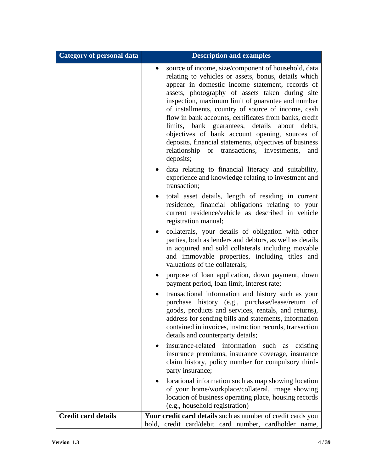| <b>Category of personal data</b> | <b>Description and examples</b>                                                                                                                                                                                                                                                                                                                                                                                                                                                                                                                                                                                                    |
|----------------------------------|------------------------------------------------------------------------------------------------------------------------------------------------------------------------------------------------------------------------------------------------------------------------------------------------------------------------------------------------------------------------------------------------------------------------------------------------------------------------------------------------------------------------------------------------------------------------------------------------------------------------------------|
|                                  | source of income, size/component of household, data<br>$\bullet$<br>relating to vehicles or assets, bonus, details which<br>appear in domestic income statement, records of<br>assets, photography of assets taken during site<br>inspection, maximum limit of guarantee and number<br>of installments, country of source of income, cash<br>flow in bank accounts, certificates from banks, credit<br>limits, bank guarantees, details about debts,<br>objectives of bank account opening, sources of<br>deposits, financial statements, objectives of business<br>relationship or transactions, investments,<br>and<br>deposits; |
|                                  | data relating to financial literacy and suitability,<br>experience and knowledge relating to investment and<br>transaction;                                                                                                                                                                                                                                                                                                                                                                                                                                                                                                        |
|                                  | total asset details, length of residing in current<br>$\bullet$<br>residence, financial obligations relating to your<br>current residence/vehicle as described in vehicle<br>registration manual;                                                                                                                                                                                                                                                                                                                                                                                                                                  |
|                                  | collaterals, your details of obligation with other<br>$\bullet$<br>parties, both as lenders and debtors, as well as details<br>in acquired and sold collaterals including movable<br>and immovable properties, including titles and<br>valuations of the collaterals;                                                                                                                                                                                                                                                                                                                                                              |
|                                  | purpose of loan application, down payment, down<br>payment period, loan limit, interest rate;                                                                                                                                                                                                                                                                                                                                                                                                                                                                                                                                      |
|                                  | transactional information and history such as your<br>٠<br>purchase history (e.g., purchase/lease/return of<br>goods, products and services, rentals, and returns),<br>address for sending bills and statements, information<br>contained in invoices, instruction records, transaction<br>details and counterparty details;                                                                                                                                                                                                                                                                                                       |
|                                  | insurance-related information<br>such as existing<br>insurance premiums, insurance coverage, insurance<br>claim history, policy number for compulsory third-<br>party insurance;                                                                                                                                                                                                                                                                                                                                                                                                                                                   |
|                                  | locational information such as map showing location<br>of your home/workplace/collateral, image showing<br>location of business operating place, housing records<br>(e.g., household registration)                                                                                                                                                                                                                                                                                                                                                                                                                                 |
| <b>Credit card details</b>       | Your credit card details such as number of credit cards you<br>hold, credit card/debit card number, cardholder name,                                                                                                                                                                                                                                                                                                                                                                                                                                                                                                               |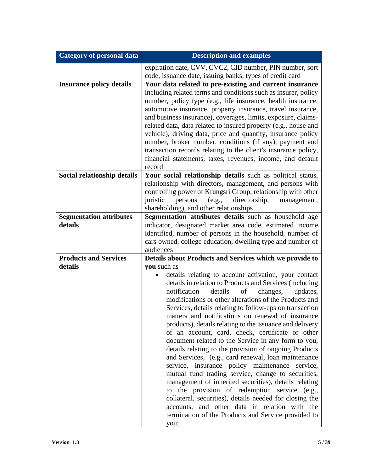| <b>Category of personal data</b> | <b>Description and examples</b>                                                                                                                                                                                                                                                                                                                                                                                                                                                                                                                                                                                                                                                                                                                                                                                                                                                                                                                                                                                                                       |
|----------------------------------|-------------------------------------------------------------------------------------------------------------------------------------------------------------------------------------------------------------------------------------------------------------------------------------------------------------------------------------------------------------------------------------------------------------------------------------------------------------------------------------------------------------------------------------------------------------------------------------------------------------------------------------------------------------------------------------------------------------------------------------------------------------------------------------------------------------------------------------------------------------------------------------------------------------------------------------------------------------------------------------------------------------------------------------------------------|
|                                  | expiration date, CVV, CVC2, CID number, PIN number, sort                                                                                                                                                                                                                                                                                                                                                                                                                                                                                                                                                                                                                                                                                                                                                                                                                                                                                                                                                                                              |
|                                  | code, issuance date, issuing banks, types of credit card                                                                                                                                                                                                                                                                                                                                                                                                                                                                                                                                                                                                                                                                                                                                                                                                                                                                                                                                                                                              |
| <b>Insurance policy details</b>  | Your data related to pre-existing and current insurance<br>including related terms and conditions such as insurer, policy<br>number, policy type (e.g., life insurance, health insurance,<br>automotive insurance, property insurance, travel insurance,<br>and business insurance), coverages, limits, exposure, claims-<br>related data, data related to insured property (e.g., house and<br>vehicle), driving data, price and quantity, insurance policy<br>number, broker number, conditions (if any), payment and<br>transaction records relating to the client's insurance policy,<br>financial statements, taxes, revenues, income, and default<br>record                                                                                                                                                                                                                                                                                                                                                                                     |
| Social relationship details      | Your social relationship details such as political status,                                                                                                                                                                                                                                                                                                                                                                                                                                                                                                                                                                                                                                                                                                                                                                                                                                                                                                                                                                                            |
|                                  | relationship with directors, management, and persons with<br>controlling power of Krungsri Group, relationship with other<br>(e.g.,<br>directorship,<br>juristic<br>persons<br>management,<br>shareholding), and other relationships                                                                                                                                                                                                                                                                                                                                                                                                                                                                                                                                                                                                                                                                                                                                                                                                                  |
| <b>Segmentation attributes</b>   | Segmentation attributes details such as household age                                                                                                                                                                                                                                                                                                                                                                                                                                                                                                                                                                                                                                                                                                                                                                                                                                                                                                                                                                                                 |
| details                          | indicator, designated market area code, estimated income<br>identified, number of persons in the household, number of<br>cars owned, college education, dwelling type and number of<br>audiences                                                                                                                                                                                                                                                                                                                                                                                                                                                                                                                                                                                                                                                                                                                                                                                                                                                      |
| <b>Products and Services</b>     | Details about Products and Services which we provide to                                                                                                                                                                                                                                                                                                                                                                                                                                                                                                                                                                                                                                                                                                                                                                                                                                                                                                                                                                                               |
| details                          | you such as<br>details relating to account activation, your contact<br>details in relation to Products and Services (including<br>notification<br>details<br>changes,<br>updates,<br>οf<br>modifications or other alterations of the Products and<br>Services, details relating to follow-ups on transaction<br>matters and notifications on renewal of insurance<br>products), details relating to the issuance and delivery<br>of an account, card, check, certificate or other<br>document related to the Service in any form to you,<br>details relating to the provision of ongoing Products<br>and Services, (e.g., card renewal, loan maintenance<br>service, insurance policy maintenance service,<br>mutual fund trading service, change to securities,<br>management of inherited securities), details relating<br>to the provision of redemption service (e.g.,<br>collateral, securities), details needed for closing the<br>accounts, and other data in relation with the<br>termination of the Products and Service provided to<br>you; |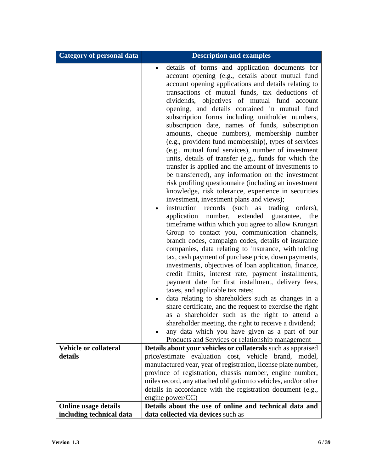| <b>Category of personal data</b> | <b>Description and examples</b>                                                                                                                                                                                                                                                                                                                                                                                                                                                                                                                                                                                                                                                                                                                                                                                                                                                                                                                                                                                                                                                                                                                                                                                                                                                                                                                                                                                                                                                                                                                                                                                                                                                                                                                                                                                                                                                                                              |
|----------------------------------|------------------------------------------------------------------------------------------------------------------------------------------------------------------------------------------------------------------------------------------------------------------------------------------------------------------------------------------------------------------------------------------------------------------------------------------------------------------------------------------------------------------------------------------------------------------------------------------------------------------------------------------------------------------------------------------------------------------------------------------------------------------------------------------------------------------------------------------------------------------------------------------------------------------------------------------------------------------------------------------------------------------------------------------------------------------------------------------------------------------------------------------------------------------------------------------------------------------------------------------------------------------------------------------------------------------------------------------------------------------------------------------------------------------------------------------------------------------------------------------------------------------------------------------------------------------------------------------------------------------------------------------------------------------------------------------------------------------------------------------------------------------------------------------------------------------------------------------------------------------------------------------------------------------------------|
| <b>Vehicle or collateral</b>     | details of forms and application documents for<br>$\bullet$<br>account opening (e.g., details about mutual fund<br>account opening applications and details relating to<br>transactions of mutual funds, tax deductions of<br>dividends, objectives of mutual fund account<br>opening, and details contained in mutual fund<br>subscription forms including unitholder numbers,<br>subscription date, names of funds, subscription<br>amounts, cheque numbers), membership number<br>(e.g., provident fund membership), types of services<br>(e.g., mutual fund services), number of investment<br>units, details of transfer (e.g., funds for which the<br>transfer is applied and the amount of investments to<br>be transferred), any information on the investment<br>risk profiling questionnaire (including an investment<br>knowledge, risk tolerance, experience in securities<br>investment, investment plans and views);<br>instruction records (such as trading orders),<br>application number, extended guarantee,<br>the<br>timeframe within which you agree to allow Krungsri<br>Group to contact you, communication channels,<br>branch codes, campaign codes, details of insurance<br>companies, data relating to insurance, withholding<br>tax, cash payment of purchase price, down payments,<br>investments, objectives of loan application, finance,<br>credit limits, interest rate, payment installments,<br>payment date for first installment, delivery fees,<br>taxes, and applicable tax rates;<br>data relating to shareholders such as changes in a<br>share certificate, and the request to exercise the right<br>as a shareholder such as the right to attend a<br>shareholder meeting, the right to receive a dividend;<br>any data which you have given as a part of our<br>Products and Services or relationship management<br>Details about your vehicles or collaterals such as appraised |
| details                          | price/estimate evaluation cost, vehicle<br>brand, model,                                                                                                                                                                                                                                                                                                                                                                                                                                                                                                                                                                                                                                                                                                                                                                                                                                                                                                                                                                                                                                                                                                                                                                                                                                                                                                                                                                                                                                                                                                                                                                                                                                                                                                                                                                                                                                                                     |
|                                  | manufactured year, year of registration, license plate number,                                                                                                                                                                                                                                                                                                                                                                                                                                                                                                                                                                                                                                                                                                                                                                                                                                                                                                                                                                                                                                                                                                                                                                                                                                                                                                                                                                                                                                                                                                                                                                                                                                                                                                                                                                                                                                                               |
|                                  | province of registration, chassis number, engine number,                                                                                                                                                                                                                                                                                                                                                                                                                                                                                                                                                                                                                                                                                                                                                                                                                                                                                                                                                                                                                                                                                                                                                                                                                                                                                                                                                                                                                                                                                                                                                                                                                                                                                                                                                                                                                                                                     |
|                                  | miles record, any attached obligation to vehicles, and/or other<br>details in accordance with the registration document (e.g.,                                                                                                                                                                                                                                                                                                                                                                                                                                                                                                                                                                                                                                                                                                                                                                                                                                                                                                                                                                                                                                                                                                                                                                                                                                                                                                                                                                                                                                                                                                                                                                                                                                                                                                                                                                                               |
|                                  | engine power/ $CC$ )                                                                                                                                                                                                                                                                                                                                                                                                                                                                                                                                                                                                                                                                                                                                                                                                                                                                                                                                                                                                                                                                                                                                                                                                                                                                                                                                                                                                                                                                                                                                                                                                                                                                                                                                                                                                                                                                                                         |
| <b>Online usage details</b>      | Details about the use of online and technical data and                                                                                                                                                                                                                                                                                                                                                                                                                                                                                                                                                                                                                                                                                                                                                                                                                                                                                                                                                                                                                                                                                                                                                                                                                                                                                                                                                                                                                                                                                                                                                                                                                                                                                                                                                                                                                                                                       |
| including technical data         | data collected via devices such as                                                                                                                                                                                                                                                                                                                                                                                                                                                                                                                                                                                                                                                                                                                                                                                                                                                                                                                                                                                                                                                                                                                                                                                                                                                                                                                                                                                                                                                                                                                                                                                                                                                                                                                                                                                                                                                                                           |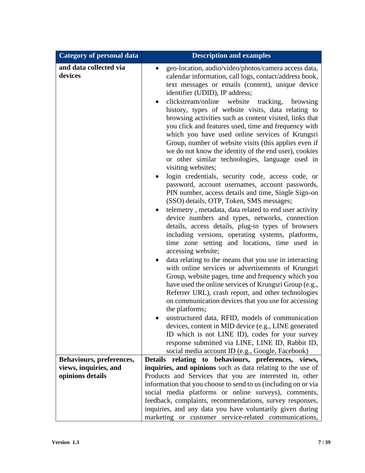| <b>Category of personal data</b>  | <b>Description and examples</b>                                                                                                                                                                                                                                                                                                                                                                                                                                                                                                                                                                                                                                                                                                                                                                                                                                                                                                                                                                                                                                                                                                                                                                                                                                                                                                                                                                                                                                                                                                                                                                                                                                                                                                                                                                                                                    |
|-----------------------------------|----------------------------------------------------------------------------------------------------------------------------------------------------------------------------------------------------------------------------------------------------------------------------------------------------------------------------------------------------------------------------------------------------------------------------------------------------------------------------------------------------------------------------------------------------------------------------------------------------------------------------------------------------------------------------------------------------------------------------------------------------------------------------------------------------------------------------------------------------------------------------------------------------------------------------------------------------------------------------------------------------------------------------------------------------------------------------------------------------------------------------------------------------------------------------------------------------------------------------------------------------------------------------------------------------------------------------------------------------------------------------------------------------------------------------------------------------------------------------------------------------------------------------------------------------------------------------------------------------------------------------------------------------------------------------------------------------------------------------------------------------------------------------------------------------------------------------------------------------|
| and data collected via<br>devices | geo-location, audio/video/photos/camera access data,<br>calendar information, call logs, contact/address book,<br>text messages or emails (content), unique device<br>identifier (UDID), IP address;<br>clickstream/online<br>website<br>tracking,<br>browsing<br>history, types of website visits, data relating to<br>browsing activities such as content visited, links that<br>you click and features used, time and frequency with<br>which you have used online services of Krungsri<br>Group, number of website visits (this applies even if<br>we do not know the identity of the end user), cookies<br>or other similar technologies, language used in<br>visiting websites;<br>login credentials, security code, access code, or<br>password, account usernames, account passwords,<br>PIN number, access details and time, Single Sign-on<br>(SSO) details, OTP, Token, SMS messages;<br>telemetry, metadata, data related to end user activity<br>$\bullet$<br>device numbers and types, networks, connection<br>details, access details, plug-in types of browsers<br>including versions, operating systems, platforms,<br>time zone setting and locations, time used in<br>accessing website;<br>data relating to the means that you use in interacting<br>with online services or advertisements of Krungsri<br>Group, website pages, time and frequency which you<br>have used the online services of Krungsri Group (e.g.,<br>Referrer URL), crash report, and other technologies<br>on communication devices that you use for accessing<br>the platforms;<br>unstructured data, RFID, models of communication<br>devices, content in MID device (e.g., LINE generated<br>ID which is not LINE ID), codes for your survey<br>response submitted via LINE, LINE ID, Rabbit ID,<br>social media account ID (e.g., Google, Facebook) |
| Behaviours, preferences,          | Details relating to behaviours, preferences, views,                                                                                                                                                                                                                                                                                                                                                                                                                                                                                                                                                                                                                                                                                                                                                                                                                                                                                                                                                                                                                                                                                                                                                                                                                                                                                                                                                                                                                                                                                                                                                                                                                                                                                                                                                                                                |
| views, inquiries, and             | inquiries, and opinions such as data relating to the use of                                                                                                                                                                                                                                                                                                                                                                                                                                                                                                                                                                                                                                                                                                                                                                                                                                                                                                                                                                                                                                                                                                                                                                                                                                                                                                                                                                                                                                                                                                                                                                                                                                                                                                                                                                                        |
| opinions details                  | Products and Services that you are interested in, other                                                                                                                                                                                                                                                                                                                                                                                                                                                                                                                                                                                                                                                                                                                                                                                                                                                                                                                                                                                                                                                                                                                                                                                                                                                                                                                                                                                                                                                                                                                                                                                                                                                                                                                                                                                            |
|                                   | information that you choose to send to us (including on or via                                                                                                                                                                                                                                                                                                                                                                                                                                                                                                                                                                                                                                                                                                                                                                                                                                                                                                                                                                                                                                                                                                                                                                                                                                                                                                                                                                                                                                                                                                                                                                                                                                                                                                                                                                                     |
|                                   | social media platforms or online surveys), comments,<br>feedback, complaints, recommendations, survey responses,<br>inquiries, and any data you have voluntarily given during                                                                                                                                                                                                                                                                                                                                                                                                                                                                                                                                                                                                                                                                                                                                                                                                                                                                                                                                                                                                                                                                                                                                                                                                                                                                                                                                                                                                                                                                                                                                                                                                                                                                      |
|                                   | marketing or customer service-related communications,                                                                                                                                                                                                                                                                                                                                                                                                                                                                                                                                                                                                                                                                                                                                                                                                                                                                                                                                                                                                                                                                                                                                                                                                                                                                                                                                                                                                                                                                                                                                                                                                                                                                                                                                                                                              |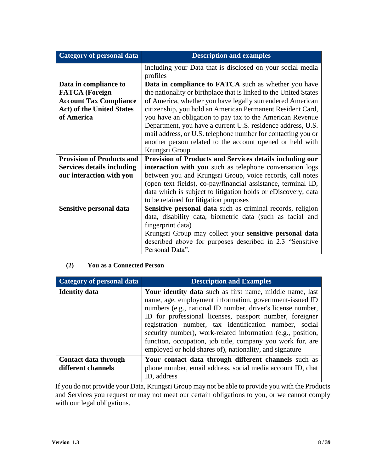| Category of personal data         | <b>Description and examples</b>                                   |
|-----------------------------------|-------------------------------------------------------------------|
|                                   | including your Data that is disclosed on your social media        |
|                                   | profiles                                                          |
| Data in compliance to             | <b>Data in compliance to FATCA</b> such as whether you have       |
| <b>FATCA</b> (Foreign             | the nationality or birthplace that is linked to the United States |
| <b>Account Tax Compliance</b>     | of America, whether you have legally surrendered American         |
| <b>Act) of the United States</b>  | citizenship, you hold an American Permanent Resident Card,        |
| of America                        | you have an obligation to pay tax to the American Revenue         |
|                                   | Department, you have a current U.S. residence address, U.S.       |
|                                   | mail address, or U.S. telephone number for contacting you or      |
|                                   | another person related to the account opened or held with         |
|                                   | Krungsri Group.                                                   |
| <b>Provision of Products and</b>  | Provision of Products and Services details including our          |
| <b>Services details including</b> | interaction with you such as telephone conversation logs          |
| our interaction with you          | between you and Krungsri Group, voice records, call notes         |
|                                   | (open text fields), co-pay/financial assistance, terminal ID,     |
|                                   | data which is subject to litigation holds or eDiscovery, data     |
|                                   | to be retained for litigation purposes                            |
| Sensitive personal data           | Sensitive personal data such as criminal records, religion        |
|                                   | data, disability data, biometric data (such as facial and         |
|                                   | fingerprint data)                                                 |
|                                   | Krungsri Group may collect your sensitive personal data           |
|                                   | described above for purposes described in 2.3 "Sensitive          |
|                                   | Personal Data".                                                   |

#### **(2) You as a Connected Person**

| <b>Category of personal data</b>           | <b>Description and Examples</b>                                                                                                                                                                                                                                                                                                                                                                                                                                                                  |
|--------------------------------------------|--------------------------------------------------------------------------------------------------------------------------------------------------------------------------------------------------------------------------------------------------------------------------------------------------------------------------------------------------------------------------------------------------------------------------------------------------------------------------------------------------|
| <b>Identity data</b>                       | Your identity data such as first name, middle name, last<br>name, age, employment information, government-issued ID<br>numbers (e.g., national ID number, driver's license number,<br>ID for professional licenses, passport number, foreigner<br>registration number, tax identification number, social<br>security number), work-related information (e.g., position,<br>function, occupation, job title, company you work for, are<br>employed or hold shares of), nationality, and signature |
| Contact data through<br>different channels | Your contact data through different channels such as<br>phone number, email address, social media account ID, chat<br>ID, address                                                                                                                                                                                                                                                                                                                                                                |

If you do not provide your Data, Krungsri Group may not be able to provide you with the Products and Services you request or may not meet our certain obligations to you, or we cannot comply with our legal obligations.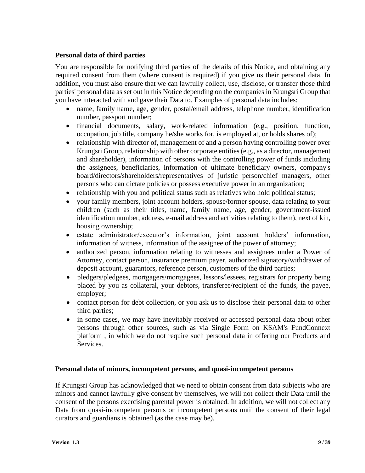#### **Personal data of third parties**

You are responsible for notifying third parties of the details of this Notice, and obtaining any required consent from them (where consent is required) if you give us their personal data. In addition, you must also ensure that we can lawfully collect, use, disclose, or transfer those third parties' personal data as set out in this Notice depending on the companies in Krungsri Group that you have interacted with and gave their Data to. Examples of personal data includes:

- name, family name, age, gender, postal/email address, telephone number, identification number, passport number;
- financial documents, salary, work-related information (e.g., position, function, occupation, job title, company he/she works for, is employed at, or holds shares of);
- relationship with director of, management of and a person having controlling power over Krungsri Group, relationship with other corporate entities(e.g., as a director, management and shareholder), information of persons with the controlling power of funds including the assignees, beneficiaries, information of ultimate beneficiary owners, company's board/directors/shareholders/representatives of juristic person/chief managers, other persons who can dictate policies or possess executive power in an organization;
- relationship with you and political status such as relatives who hold political status;
- your family members, joint account holders, spouse/former spouse, data relating to your children (such as their titles, name, family name, age, gender, government-issued identification number, address, e-mail address and activities relating to them), next of kin, housing ownership;
- estate administrator/executor's information, joint account holders' information, information of witness, information of the assignee of the power of attorney;
- authorized person, information relating to witnesses and assignees under a Power of Attorney, contact person, insurance premium payer, authorized signatory/withdrawer of deposit account, guarantors, reference person, customers of the third parties;
- pledgers/pledgees, mortgagers/mortgagees, lessors/lessees, registrars for property being placed by you as collateral, your debtors, transferee/recipient of the funds, the payee, employer;
- contact person for debt collection, or you ask us to disclose their personal data to other third parties;
- in some cases, we may have inevitably received or accessed personal data about other persons through other sources, such as via Single Form on KSAM's FundConnext platform , in which we do not require such personal data in offering our Products and Services.

#### **Personal data of minors, incompetent persons, and quasi-incompetent persons**

If Krungsri Group has acknowledged that we need to obtain consent from data subjects who are minors and cannot lawfully give consent by themselves, we will not collect their Data until the consent of the persons exercising parental power is obtained. In addition, we will not collect any Data from quasi-incompetent persons or incompetent persons until the consent of their legal curators and guardians is obtained (as the case may be).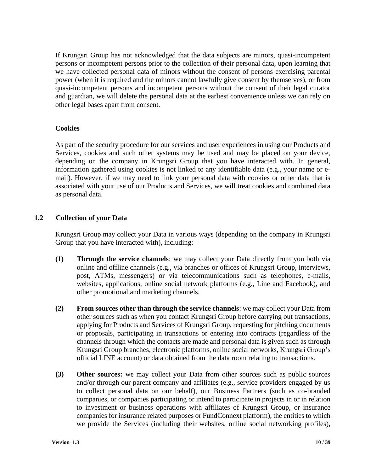If Krungsri Group has not acknowledged that the data subjects are minors, quasi-incompetent persons or incompetent persons prior to the collection of their personal data, upon learning that we have collected personal data of minors without the consent of persons exercising parental power (when it is required and the minors cannot lawfully give consent by themselves), or from quasi-incompetent persons and incompetent persons without the consent of their legal curator and guardian, we will delete the personal data at the earliest convenience unless we can rely on other legal bases apart from consent.

#### **Cookies**

As part of the security procedure for our services and user experiences in using our Products and Services, cookies and such other systems may be used and may be placed on your device, depending on the company in Krungsri Group that you have interacted with. In general, information gathered using cookies is not linked to any identifiable data (e.g., your name or email). However, if we may need to link your personal data with cookies or other data that is associated with your use of our Products and Services, we will treat cookies and combined data as personal data.

#### **1.2 Collection of your Data**

Krungsri Group may collect your Data in various ways (depending on the company in Krungsri Group that you have interacted with), including:

- **(1) Through the service channels**: we may collect your Data directly from you both via online and offline channels (e.g., via branches or offices of Krungsri Group, interviews, post, ATMs, messengers) or via telecommunications such as telephones, e-mails, websites, applications, online social network platforms (e.g., Line and Facebook), and other promotional and marketing channels.
- **(2) From sources other than through the service channels**: we may collect your Data from other sources such as when you contact Krungsri Group before carrying out transactions, applying for Products and Services of Krungsri Group, requesting for pitching documents or proposals, participating in transactions or entering into contracts (regardless of the channels through which the contacts are made and personal data is given such as through Krungsri Group branches, electronic platforms, online social networks, Krungsri Group's official LINE account) or data obtained from the data room relating to transactions.
- **(3) Other sources:** we may collect your Data from other sources such as public sources and/or through our parent company and affiliates (e.g., service providers engaged by us to collect personal data on our behalf), our Business Partners (such as co-branded companies, or companies participating or intend to participate in projects in or in relation to investment or business operations with affiliates of Krungsri Group, or insurance companies for insurance related purposes or FundConnext platform), the entities to which we provide the Services (including their websites, online social networking profiles),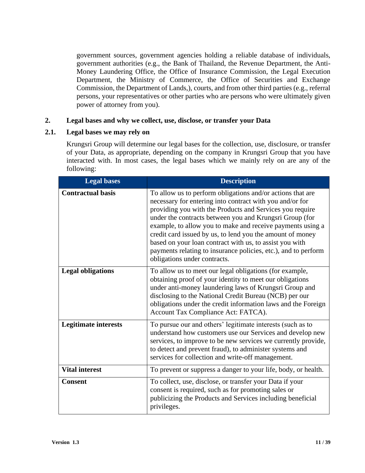government sources, government agencies holding a reliable database of individuals, government authorities (e.g., the Bank of Thailand, the Revenue Department, the Anti-Money Laundering Office, the Office of Insurance Commission, the Legal Execution Department, the Ministry of Commerce, the Office of Securities and Exchange Commission, the Department of Lands,), courts, and from other third parties (e.g., referral persons, your representatives or other parties who are persons who were ultimately given power of attorney from you).

#### **2. Legal bases and why we collect, use, disclose, or transfer your Data**

#### **2.1. Legal bases we may rely on**

Krungsri Group will determine our legal bases for the collection, use, disclosure, or transfer of your Data, as appropriate, depending on the company in Krungsri Group that you have interacted with. In most cases, the legal bases which we mainly rely on are any of the following:

| <b>Legal bases</b>          | <b>Description</b>                                                                                                                                                                                                                                                                                                                                                                                                                                                                                                                    |
|-----------------------------|---------------------------------------------------------------------------------------------------------------------------------------------------------------------------------------------------------------------------------------------------------------------------------------------------------------------------------------------------------------------------------------------------------------------------------------------------------------------------------------------------------------------------------------|
| <b>Contractual basis</b>    | To allow us to perform obligations and/or actions that are<br>necessary for entering into contract with you and/or for<br>providing you with the Products and Services you require<br>under the contracts between you and Krungsri Group (for<br>example, to allow you to make and receive payments using a<br>credit card issued by us, to lend you the amount of money<br>based on your loan contract with us, to assist you with<br>payments relating to insurance policies, etc.), and to perform<br>obligations under contracts. |
| <b>Legal obligations</b>    | To allow us to meet our legal obligations (for example,<br>obtaining proof of your identity to meet our obligations<br>under anti-money laundering laws of Krungsri Group and<br>disclosing to the National Credit Bureau (NCB) per our<br>obligations under the credit information laws and the Foreign<br>Account Tax Compliance Act: FATCA).                                                                                                                                                                                       |
| <b>Legitimate interests</b> | To pursue our and others' legitimate interests (such as to<br>understand how customers use our Services and develop new<br>services, to improve to be new services we currently provide,<br>to detect and prevent fraud), to administer systems and<br>services for collection and write-off management.                                                                                                                                                                                                                              |
| <b>Vital interest</b>       | To prevent or suppress a danger to your life, body, or health.                                                                                                                                                                                                                                                                                                                                                                                                                                                                        |
| <b>Consent</b>              | To collect, use, disclose, or transfer your Data if your<br>consent is required, such as for promoting sales or<br>publicizing the Products and Services including beneficial<br>privileges.                                                                                                                                                                                                                                                                                                                                          |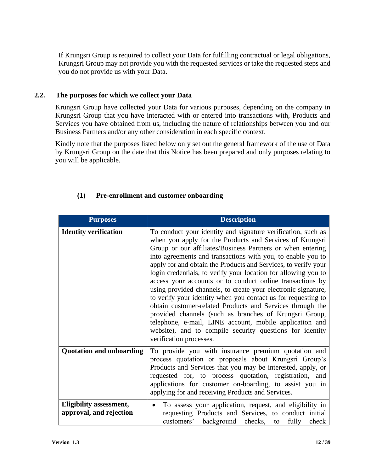If Krungsri Group is required to collect your Data for fulfilling contractual or legal obligations, Krungsri Group may not provide you with the requested services or take the requested steps and you do not provide us with your Data.

#### **2.2. The purposes for which we collect your Data**

Krungsri Group have collected your Data for various purposes, depending on the company in Krungsri Group that you have interacted with or entered into transactions with, Products and Services you have obtained from us, including the nature of relationships between you and our Business Partners and/or any other consideration in each specific context.

Kindly note that the purposes listed below only set out the general framework of the use of Data by Krungsri Group on the date that this Notice has been prepared and only purposes relating to you will be applicable.

| <b>Purposes</b>                                           | <b>Description</b>                                                                                                                                                                                                                                                                                                                                                                                                                                                                                                                                                                                                                                                                                                                                                                                                                                                |
|-----------------------------------------------------------|-------------------------------------------------------------------------------------------------------------------------------------------------------------------------------------------------------------------------------------------------------------------------------------------------------------------------------------------------------------------------------------------------------------------------------------------------------------------------------------------------------------------------------------------------------------------------------------------------------------------------------------------------------------------------------------------------------------------------------------------------------------------------------------------------------------------------------------------------------------------|
| <b>Identity verification</b>                              | To conduct your identity and signature verification, such as<br>when you apply for the Products and Services of Krungsri<br>Group or our affiliates/Business Partners or when entering<br>into agreements and transactions with you, to enable you to<br>apply for and obtain the Products and Services, to verify your<br>login credentials, to verify your location for allowing you to<br>access your accounts or to conduct online transactions by<br>using provided channels, to create your electronic signature,<br>to verify your identity when you contact us for requesting to<br>obtain customer-related Products and Services through the<br>provided channels (such as branches of Krungsri Group,<br>telephone, e-mail, LINE account, mobile application and<br>website), and to compile security questions for identity<br>verification processes. |
| <b>Quotation and onboarding</b>                           | To provide you with insurance premium quotation and<br>process quotation or proposals about Krungsri Group's<br>Products and Services that you may be interested, apply, or<br>requested for, to process quotation, registration, and<br>applications for customer on-boarding, to assist you in<br>applying for and receiving Products and Services.                                                                                                                                                                                                                                                                                                                                                                                                                                                                                                             |
| <b>Eligibility assessment,</b><br>approval, and rejection | To assess your application, request, and eligibility in<br>$\bullet$<br>requesting Products and Services, to conduct initial<br>customers' background checks, to fully<br>check                                                                                                                                                                                                                                                                                                                                                                                                                                                                                                                                                                                                                                                                                   |

#### **(1) Pre-enrollment and customer onboarding**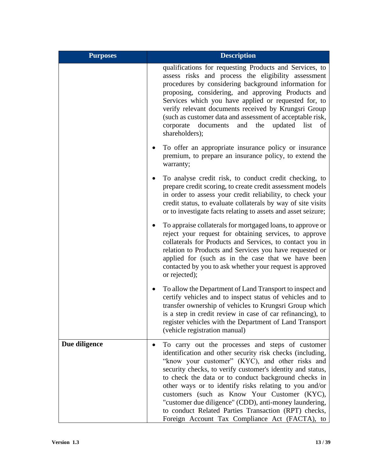| <b>Purposes</b> | <b>Description</b>                                                                                                                                                                                                                                                                                                                                                                                                                                                                                                                                                                |
|-----------------|-----------------------------------------------------------------------------------------------------------------------------------------------------------------------------------------------------------------------------------------------------------------------------------------------------------------------------------------------------------------------------------------------------------------------------------------------------------------------------------------------------------------------------------------------------------------------------------|
|                 | qualifications for requesting Products and Services, to<br>assess risks and process the eligibility assessment<br>procedures by considering background information for<br>proposing, considering, and approving Products and<br>Services which you have applied or requested for, to<br>verify relevant documents received by Krungsri Group<br>(such as customer data and assessment of acceptable risk,<br>the<br>documents<br>and<br>updated<br>corporate<br>list<br>of<br>shareholders);                                                                                      |
|                 | To offer an appropriate insurance policy or insurance<br>premium, to prepare an insurance policy, to extend the<br>warranty;                                                                                                                                                                                                                                                                                                                                                                                                                                                      |
|                 | To analyse credit risk, to conduct credit checking, to<br>prepare credit scoring, to create credit assessment models<br>in order to assess your credit reliability, to check your<br>credit status, to evaluate collaterals by way of site visits<br>or to investigate facts relating to assets and asset seizure;                                                                                                                                                                                                                                                                |
|                 | To appraise collaterals for mortgaged loans, to approve or<br>reject your request for obtaining services, to approve<br>collaterals for Products and Services, to contact you in<br>relation to Products and Services you have requested or<br>applied for (such as in the case that we have been<br>contacted by you to ask whether your request is approved<br>or rejected);                                                                                                                                                                                                    |
|                 | To allow the Department of Land Transport to inspect and<br>certify vehicles and to inspect status of vehicles and to<br>transfer ownership of vehicles to Krungsri Group which<br>is a step in credit review in case of car refinancing), to<br>register vehicles with the Department of Land Transport<br>(vehicle registration manual)                                                                                                                                                                                                                                         |
| Due diligence   | To carry out the processes and steps of customer<br>$\bullet$<br>identification and other security risk checks (including,<br>"know your customer" (KYC), and other risks and<br>security checks, to verify customer's identity and status,<br>to check the data or to conduct background checks in<br>other ways or to identify risks relating to you and/or<br>customers (such as Know Your Customer (KYC),<br>"customer due diligence" (CDD), anti-money laundering,<br>to conduct Related Parties Transaction (RPT) checks,<br>Foreign Account Tax Compliance Act (FACTA), to |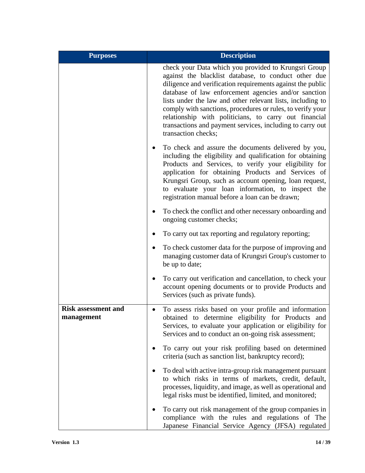| <b>Purposes</b>                          | <b>Description</b>                                                                                                                                                                                                                                                                                                                                                                                                                                                                                          |
|------------------------------------------|-------------------------------------------------------------------------------------------------------------------------------------------------------------------------------------------------------------------------------------------------------------------------------------------------------------------------------------------------------------------------------------------------------------------------------------------------------------------------------------------------------------|
|                                          | check your Data which you provided to Krungsri Group<br>against the blacklist database, to conduct other due<br>diligence and verification requirements against the public<br>database of law enforcement agencies and/or sanction<br>lists under the law and other relevant lists, including to<br>comply with sanctions, procedures or rules, to verify your<br>relationship with politicians, to carry out financial<br>transactions and payment services, including to carry out<br>transaction checks; |
|                                          | To check and assure the documents delivered by you,<br>including the eligibility and qualification for obtaining<br>Products and Services, to verify your eligibility for<br>application for obtaining Products and Services of<br>Krungsri Group, such as account opening, loan request,<br>to evaluate your loan information, to inspect the<br>registration manual before a loan can be drawn;                                                                                                           |
|                                          | To check the conflict and other necessary onboarding and<br>ongoing customer checks;                                                                                                                                                                                                                                                                                                                                                                                                                        |
|                                          | To carry out tax reporting and regulatory reporting;                                                                                                                                                                                                                                                                                                                                                                                                                                                        |
|                                          | To check customer data for the purpose of improving and<br>managing customer data of Krungsri Group's customer to<br>be up to date;                                                                                                                                                                                                                                                                                                                                                                         |
|                                          | To carry out verification and cancellation, to check your<br>account opening documents or to provide Products and<br>Services (such as private funds).                                                                                                                                                                                                                                                                                                                                                      |
| <b>Risk assessment and</b><br>management | To assess risks based on your profile and information<br>٠<br>obtained to determine eligibility for Products and<br>Services, to evaluate your application or eligibility for<br>Services and to conduct an on-going risk assessment;                                                                                                                                                                                                                                                                       |
|                                          | To carry out your risk profiling based on determined<br>criteria (such as sanction list, bankruptcy record);                                                                                                                                                                                                                                                                                                                                                                                                |
|                                          | To deal with active intra-group risk management pursuant<br>to which risks in terms of markets, credit, default,<br>processes, liquidity, and image, as well as operational and<br>legal risks must be identified, limited, and monitored;                                                                                                                                                                                                                                                                  |
|                                          | To carry out risk management of the group companies in<br>compliance with the rules and regulations of The<br>Japanese Financial Service Agency (JFSA) regulated                                                                                                                                                                                                                                                                                                                                            |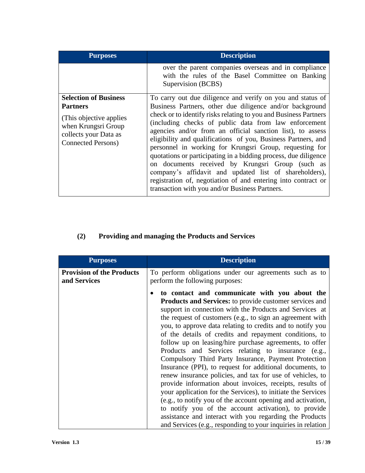| <b>Purposes</b>                                                                                                                                           | <b>Description</b>                                                                                                                                                                                                                                                                                                                                                                                                                                                                                                                                                                                                                                                                                                                                |
|-----------------------------------------------------------------------------------------------------------------------------------------------------------|---------------------------------------------------------------------------------------------------------------------------------------------------------------------------------------------------------------------------------------------------------------------------------------------------------------------------------------------------------------------------------------------------------------------------------------------------------------------------------------------------------------------------------------------------------------------------------------------------------------------------------------------------------------------------------------------------------------------------------------------------|
|                                                                                                                                                           | over the parent companies overseas and in compliance<br>with the rules of the Basel Committee on Banking<br>Supervision (BCBS)                                                                                                                                                                                                                                                                                                                                                                                                                                                                                                                                                                                                                    |
| <b>Selection of Business</b><br><b>Partners</b><br>(This objective applies)<br>when Krungsri Group<br>collects your Data as<br><b>Connected Persons</b> ) | To carry out due diligence and verify on you and status of<br>Business Partners, other due diligence and/or background<br>check or to identify risks relating to you and Business Partners<br>(including checks of public data from law enforcement<br>agencies and/or from an official sanction list), to assess<br>eligibility and qualifications of you, Business Partners, and<br>personnel in working for Krungsri Group, requesting for<br>quotations or participating in a bidding process, due diligence<br>on documents received by Krungsri Group (such as<br>company's affidavit and updated list of shareholders),<br>registration of, negotiation of and entering into contract or<br>transaction with you and/or Business Partners. |

## **(2) Providing and managing the Products and Services**

| <b>Purposes</b>                                  | <b>Description</b>                                                                                                                                                                                                                                                                                                                                                                                                                                                                                                                                                                                                                                                                                                                                                                                                                                                                                                                                                                                                                              |
|--------------------------------------------------|-------------------------------------------------------------------------------------------------------------------------------------------------------------------------------------------------------------------------------------------------------------------------------------------------------------------------------------------------------------------------------------------------------------------------------------------------------------------------------------------------------------------------------------------------------------------------------------------------------------------------------------------------------------------------------------------------------------------------------------------------------------------------------------------------------------------------------------------------------------------------------------------------------------------------------------------------------------------------------------------------------------------------------------------------|
| <b>Provision of the Products</b><br>and Services | To perform obligations under our agreements such as to<br>perform the following purposes:                                                                                                                                                                                                                                                                                                                                                                                                                                                                                                                                                                                                                                                                                                                                                                                                                                                                                                                                                       |
|                                                  | to contact and communicate with you about the<br><b>Products and Services:</b> to provide customer services and<br>support in connection with the Products and Services at<br>the request of customers (e.g., to sign an agreement with<br>you, to approve data relating to credits and to notify you<br>of the details of credits and repayment conditions, to<br>follow up on leasing/hire purchase agreements, to offer<br>Products and Services relating to insurance (e.g.,<br>Compulsory Third Party Insurance, Payment Protection<br>Insurance (PPI), to request for additional documents, to<br>renew insurance policies, and tax for use of vehicles, to<br>provide information about invoices, receipts, results of<br>your application for the Services), to initiate the Services<br>(e.g., to notify you of the account opening and activation,<br>to notify you of the account activation), to provide<br>assistance and interact with you regarding the Products<br>and Services (e.g., responding to your inquiries in relation |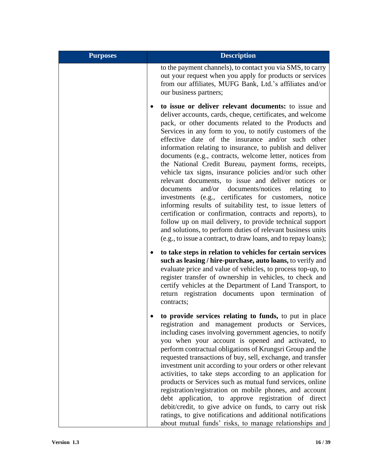| <b>Purposes</b> | <b>Description</b>                                                                                                                                                                                                                                                                                                                                                                                                                                                                                                                                                                                                                                                                                                                                                                                                                                                                                                                                                                                                                            |
|-----------------|-----------------------------------------------------------------------------------------------------------------------------------------------------------------------------------------------------------------------------------------------------------------------------------------------------------------------------------------------------------------------------------------------------------------------------------------------------------------------------------------------------------------------------------------------------------------------------------------------------------------------------------------------------------------------------------------------------------------------------------------------------------------------------------------------------------------------------------------------------------------------------------------------------------------------------------------------------------------------------------------------------------------------------------------------|
|                 | to the payment channels), to contact you via SMS, to carry<br>out your request when you apply for products or services<br>from our affiliates, MUFG Bank, Ltd.'s affiliates and/or<br>our business partners;                                                                                                                                                                                                                                                                                                                                                                                                                                                                                                                                                                                                                                                                                                                                                                                                                                  |
|                 | to issue or deliver relevant documents: to issue and<br>deliver accounts, cards, cheque, certificates, and welcome<br>pack, or other documents related to the Products and<br>Services in any form to you, to notify customers of the<br>effective date of the insurance and/or such other<br>information relating to insurance, to publish and deliver<br>documents (e.g., contracts, welcome letter, notices from<br>the National Credit Bureau, payment forms, receipts,<br>vehicle tax signs, insurance policies and/or such other<br>relevant documents, to issue and deliver notices or<br>documents<br>and/or<br>documents/notices<br>relating<br>to<br>investments (e.g., certificates for customers, notice<br>informing results of suitability test, to issue letters of<br>certification or confirmation, contracts and reports), to<br>follow up on mail delivery, to provide technical support<br>and solutions, to perform duties of relevant business units<br>(e.g., to issue a contract, to draw loans, and to repay loans); |
|                 | to take steps in relation to vehicles for certain services<br>such as leasing / hire-purchase, auto loans, to verify and<br>evaluate price and value of vehicles, to process top-up, to<br>register transfer of ownership in vehicles, to check and<br>certify vehicles at the Department of Land Transport, to<br>return registration documents upon termination of<br>contracts;                                                                                                                                                                                                                                                                                                                                                                                                                                                                                                                                                                                                                                                            |
|                 | to provide services relating to funds, to put in place<br>registration and management products or Services,<br>including cases involving government agencies, to notify<br>you when your account is opened and activated, to<br>perform contractual obligations of Krungsri Group and the<br>requested transactions of buy, sell, exchange, and transfer<br>investment unit according to your orders or other relevant<br>activities, to take steps according to an application for<br>products or Services such as mutual fund services, online<br>registration/registration on mobile phones, and account<br>debt application, to approve registration of direct<br>debit/credit, to give advice on funds, to carry out risk<br>ratings, to give notifications and additional notifications<br>about mutual funds' risks, to manage relationships and                                                                                                                                                                                       |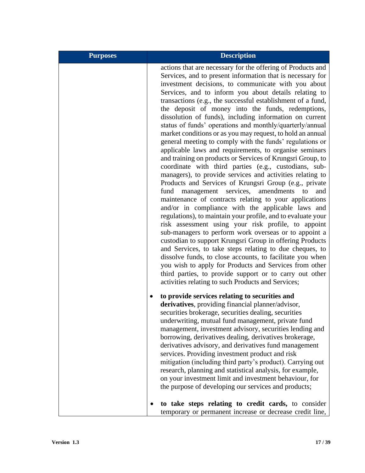| <b>Purposes</b> | <b>Description</b>                                                                                                                                                                                                                                                                                                                                                                                                                                                                                                                                                                                                                                                                                                                                                                                                                                                                                                                                                                                                                                                                                                                                                                                                                                                                                                                                                                                                                                                                                                                                                                                                                           |
|-----------------|----------------------------------------------------------------------------------------------------------------------------------------------------------------------------------------------------------------------------------------------------------------------------------------------------------------------------------------------------------------------------------------------------------------------------------------------------------------------------------------------------------------------------------------------------------------------------------------------------------------------------------------------------------------------------------------------------------------------------------------------------------------------------------------------------------------------------------------------------------------------------------------------------------------------------------------------------------------------------------------------------------------------------------------------------------------------------------------------------------------------------------------------------------------------------------------------------------------------------------------------------------------------------------------------------------------------------------------------------------------------------------------------------------------------------------------------------------------------------------------------------------------------------------------------------------------------------------------------------------------------------------------------|
|                 | actions that are necessary for the offering of Products and<br>Services, and to present information that is necessary for<br>investment decisions, to communicate with you about<br>Services, and to inform you about details relating to<br>transactions (e.g., the successful establishment of a fund,<br>the deposit of money into the funds, redemptions,<br>dissolution of funds), including information on current<br>status of funds' operations and monthly/quarterly/annual<br>market conditions or as you may request, to hold an annual<br>general meeting to comply with the funds' regulations or<br>applicable laws and requirements, to organise seminars<br>and training on products or Services of Krungsri Group, to<br>coordinate with third parties (e.g., custodians, sub-<br>managers), to provide services and activities relating to<br>Products and Services of Krungsri Group (e.g., private<br>services, amendments to<br>management<br>fund<br>and<br>maintenance of contracts relating to your applications<br>and/or in compliance with the applicable laws and<br>regulations), to maintain your profile, and to evaluate your<br>risk assessment using your risk profile, to appoint<br>sub-managers to perform work overseas or to appoint a<br>custodian to support Krungsri Group in offering Products<br>and Services, to take steps relating to due cheques, to<br>dissolve funds, to close accounts, to facilitate you when<br>you wish to apply for Products and Services from other<br>third parties, to provide support or to carry out other<br>activities relating to such Products and Services; |
|                 | to provide services relating to securities and<br>derivatives, providing financial planner/advisor,<br>securities brokerage, securities dealing, securities<br>underwriting, mutual fund management, private fund<br>management, investment advisory, securities lending and<br>borrowing, derivatives dealing, derivatives brokerage,<br>derivatives advisory, and derivatives fund management<br>services. Providing investment product and risk<br>mitigation (including third party's product). Carrying out<br>research, planning and statistical analysis, for example,<br>on your investment limit and investment behaviour, for<br>the purpose of developing our services and products;<br>to take steps relating to credit cards, to consider<br>temporary or permanent increase or decrease credit line,                                                                                                                                                                                                                                                                                                                                                                                                                                                                                                                                                                                                                                                                                                                                                                                                                           |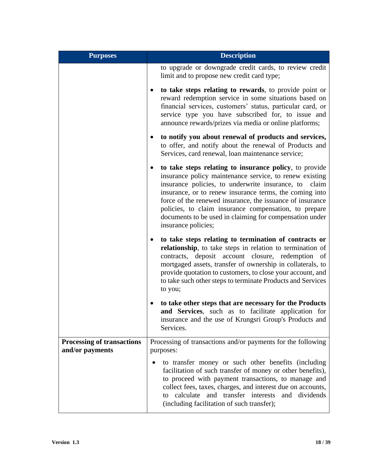| <b>Purposes</b>                                      | <b>Description</b>                                                                                                                                                                                                                                                                                                                                                                                                                               |
|------------------------------------------------------|--------------------------------------------------------------------------------------------------------------------------------------------------------------------------------------------------------------------------------------------------------------------------------------------------------------------------------------------------------------------------------------------------------------------------------------------------|
|                                                      | to upgrade or downgrade credit cards, to review credit<br>limit and to propose new credit card type;                                                                                                                                                                                                                                                                                                                                             |
|                                                      | to take steps relating to rewards, to provide point or<br>reward redemption service in some situations based on<br>financial services, customers' status, particular card, or<br>service type you have subscribed for, to issue and<br>announce rewards/prizes via media or online platforms;                                                                                                                                                    |
|                                                      | to notify you about renewal of products and services,<br>to offer, and notify about the renewal of Products and<br>Services, card renewal, loan maintenance service;                                                                                                                                                                                                                                                                             |
|                                                      | to take steps relating to insurance policy, to provide<br>insurance policy maintenance service, to renew existing<br>insurance policies, to underwrite insurance, to<br>claim<br>insurance, or to renew insurance terms, the coming into<br>force of the renewed insurance, the issuance of insurance<br>policies, to claim insurance compensation, to prepare<br>documents to be used in claiming for compensation under<br>insurance policies; |
|                                                      | to take steps relating to termination of contracts or<br>relationship, to take steps in relation to termination of<br>contracts, deposit account closure, redemption of<br>mortgaged assets, transfer of ownership in collaterals, to<br>provide quotation to customers, to close your account, and<br>to take such other steps to terminate Products and Services<br>to you;                                                                    |
|                                                      | to take other steps that are necessary for the Products<br>and Services, such as to facilitate application for<br>insurance and the use of Krungsri Group's Products and<br>Services.                                                                                                                                                                                                                                                            |
| <b>Processing of transactions</b><br>and/or payments | Processing of transactions and/or payments for the following<br>purposes:                                                                                                                                                                                                                                                                                                                                                                        |
|                                                      | to transfer money or such other benefits (including<br>facilitation of such transfer of money or other benefits),<br>to proceed with payment transactions, to manage and<br>collect fees, taxes, charges, and interest due on accounts,<br>calculate and transfer interests<br>and dividends<br>to<br>(including facilitation of such transfer);                                                                                                 |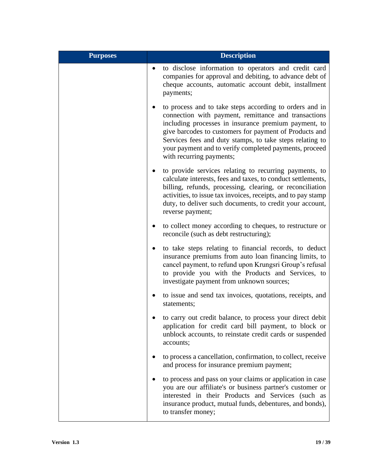| <b>Purposes</b> | <b>Description</b>                                                                                                                                                                                                                                                                                                                                                                  |
|-----------------|-------------------------------------------------------------------------------------------------------------------------------------------------------------------------------------------------------------------------------------------------------------------------------------------------------------------------------------------------------------------------------------|
|                 | to disclose information to operators and credit card<br>companies for approval and debiting, to advance debt of<br>cheque accounts, automatic account debit, installment<br>payments;                                                                                                                                                                                               |
|                 | to process and to take steps according to orders and in<br>connection with payment, remittance and transactions<br>including processes in insurance premium payment, to<br>give barcodes to customers for payment of Products and<br>Services fees and duty stamps, to take steps relating to<br>your payment and to verify completed payments, proceed<br>with recurring payments; |
|                 | to provide services relating to recurring payments, to<br>calculate interests, fees and taxes, to conduct settlements,<br>billing, refunds, processing, clearing, or reconciliation<br>activities, to issue tax invoices, receipts, and to pay stamp<br>duty, to deliver such documents, to credit your account,<br>reverse payment;                                                |
|                 | to collect money according to cheques, to restructure or<br>reconcile (such as debt restructuring);                                                                                                                                                                                                                                                                                 |
|                 | to take steps relating to financial records, to deduct<br>insurance premiums from auto loan financing limits, to<br>cancel payment, to refund upon Krungsri Group's refusal<br>to provide you with the Products and Services, to<br>investigate payment from unknown sources;                                                                                                       |
|                 | to issue and send tax invoices, quotations, receipts, and<br>statements;                                                                                                                                                                                                                                                                                                            |
|                 | to carry out credit balance, to process your direct debit<br>application for credit card bill payment, to block or<br>unblock accounts, to reinstate credit cards or suspended<br>accounts;                                                                                                                                                                                         |
|                 | to process a cancellation, confirmation, to collect, receive<br>and process for insurance premium payment;                                                                                                                                                                                                                                                                          |
|                 | to process and pass on your claims or application in case<br>you are our affiliate's or business partner's customer or<br>interested in their Products and Services (such as<br>insurance product, mutual funds, debentures, and bonds),<br>to transfer money;                                                                                                                      |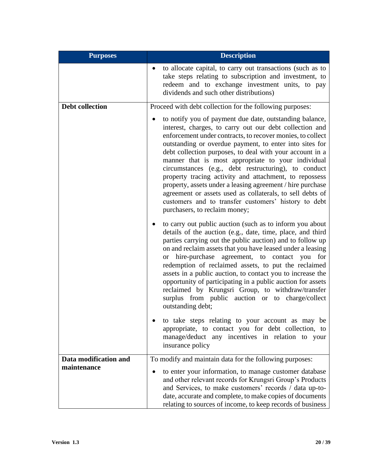| <b>Purposes</b>                      | <b>Description</b>                                                                                                                                                                                                                                                                                                                                                                                                                                                                                                                                                                                                                                                                                  |
|--------------------------------------|-----------------------------------------------------------------------------------------------------------------------------------------------------------------------------------------------------------------------------------------------------------------------------------------------------------------------------------------------------------------------------------------------------------------------------------------------------------------------------------------------------------------------------------------------------------------------------------------------------------------------------------------------------------------------------------------------------|
|                                      | to allocate capital, to carry out transactions (such as to<br>take steps relating to subscription and investment, to<br>redeem and to exchange investment units, to pay<br>dividends and such other distributions)                                                                                                                                                                                                                                                                                                                                                                                                                                                                                  |
| <b>Debt collection</b>               | Proceed with debt collection for the following purposes:                                                                                                                                                                                                                                                                                                                                                                                                                                                                                                                                                                                                                                            |
|                                      | to notify you of payment due date, outstanding balance,<br>interest, charges, to carry out our debt collection and<br>enforcement under contracts, to recover monies, to collect<br>outstanding or overdue payment, to enter into sites for<br>debt collection purposes, to deal with your account in a<br>manner that is most appropriate to your individual<br>circumstances (e.g., debt restructuring), to conduct<br>property tracing activity and attachment, to repossess<br>property, assets under a leasing agreement / hire purchase<br>agreement or assets used as collaterals, to sell debts of<br>customers and to transfer customers' history to debt<br>purchasers, to reclaim money; |
|                                      | to carry out public auction (such as to inform you about<br>details of the auction (e.g., date, time, place, and third<br>parties carrying out the public auction) and to follow up<br>on and reclaim assets that you have leased under a leasing<br>or hire-purchase agreement, to contact you for<br>redemption of reclaimed assets, to put the reclaimed<br>assets in a public auction, to contact you to increase the<br>opportunity of participating in a public auction for assets<br>reclaimed by Krungsri Group, to withdraw/transfer<br>surplus from public auction or to charge/collect<br>outstanding debt;                                                                              |
|                                      | to take steps relating to your account as may be<br>appropriate, to contact you for debt collection, to<br>manage/deduct any incentives in relation to your<br>insurance policy                                                                                                                                                                                                                                                                                                                                                                                                                                                                                                                     |
| Data modification and<br>maintenance | To modify and maintain data for the following purposes:<br>to enter your information, to manage customer database<br>$\bullet$<br>and other relevant records for Krungsri Group's Products<br>and Services, to make customers' records / data up-to-<br>date, accurate and complete, to make copies of documents<br>relating to sources of income, to keep records of business                                                                                                                                                                                                                                                                                                                      |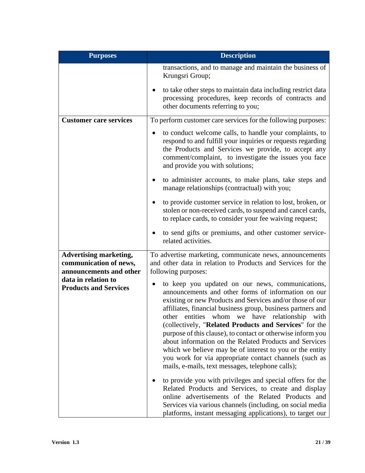| <b>Purposes</b>                                                                    | <b>Description</b>                                                                                                                                                                                                                                                                                                                                                                                                                                                                                                                                                                                                                                             |
|------------------------------------------------------------------------------------|----------------------------------------------------------------------------------------------------------------------------------------------------------------------------------------------------------------------------------------------------------------------------------------------------------------------------------------------------------------------------------------------------------------------------------------------------------------------------------------------------------------------------------------------------------------------------------------------------------------------------------------------------------------|
|                                                                                    | transactions, and to manage and maintain the business of<br>Krungsri Group;                                                                                                                                                                                                                                                                                                                                                                                                                                                                                                                                                                                    |
|                                                                                    | to take other steps to maintain data including restrict data<br>processing procedures, keep records of contracts and<br>other documents referring to you;                                                                                                                                                                                                                                                                                                                                                                                                                                                                                                      |
| <b>Customer care services</b>                                                      | To perform customer care services for the following purposes:                                                                                                                                                                                                                                                                                                                                                                                                                                                                                                                                                                                                  |
|                                                                                    | to conduct welcome calls, to handle your complaints, to<br>respond to and fulfill your inquiries or requests regarding<br>the Products and Services we provide, to accept any<br>comment/complaint, to investigate the issues you face<br>and provide you with solutions;                                                                                                                                                                                                                                                                                                                                                                                      |
|                                                                                    | to administer accounts, to make plans, take steps and<br>manage relationships (contractual) with you;                                                                                                                                                                                                                                                                                                                                                                                                                                                                                                                                                          |
|                                                                                    | to provide customer service in relation to lost, broken, or<br>$\bullet$<br>stolen or non-received cards, to suspend and cancel cards,<br>to replace cards, to consider your fee waiving request;                                                                                                                                                                                                                                                                                                                                                                                                                                                              |
|                                                                                    | to send gifts or premiums, and other customer service-<br>related activities.                                                                                                                                                                                                                                                                                                                                                                                                                                                                                                                                                                                  |
| <b>Advertising marketing,</b><br>communication of news,<br>announcements and other | To advertise marketing, communicate news, announcements<br>and other data in relation to Products and Services for the<br>following purposes:                                                                                                                                                                                                                                                                                                                                                                                                                                                                                                                  |
| data in relation to<br><b>Products and Services</b>                                | to keep you updated on our news, communications,<br>$\bullet$<br>announcements and other forms of information on our<br>existing or new Products and Services and/or those of our<br>affiliates, financial business group, business partners and<br>other entities whom we have relationship with<br>(collectively, "Related Products and Services" for the<br>purpose of this clause), to contact or otherwise inform you<br>about information on the Related Products and Services<br>which we believe may be of interest to you or the entity<br>you work for via appropriate contact channels (such as<br>mails, e-mails, text messages, telephone calls); |
|                                                                                    | to provide you with privileges and special offers for the<br>Related Products and Services, to create and display<br>online advertisements of the Related Products and<br>Services via various channels (including, on social media<br>platforms, instant messaging applications), to target our                                                                                                                                                                                                                                                                                                                                                               |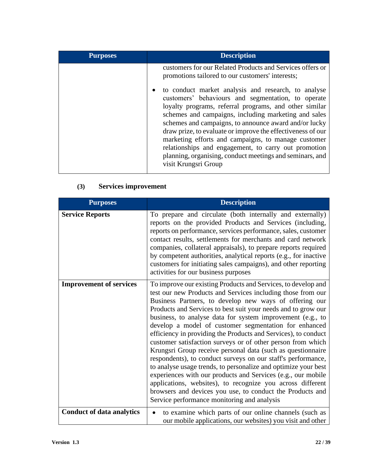| <b>Purposes</b> | <b>Description</b>                                                                                                                                                                                                                                                                                                                                                                                                 |
|-----------------|--------------------------------------------------------------------------------------------------------------------------------------------------------------------------------------------------------------------------------------------------------------------------------------------------------------------------------------------------------------------------------------------------------------------|
|                 | customers for our Related Products and Services offers or<br>promotions tailored to our customers' interests;<br>to conduct market analysis and research, to analyse<br>$\bullet$<br>customers' behaviours and segmentation, to operate<br>loyalty programs, referral programs, and other similar<br>schemes and campaigns, including marketing and sales<br>schemes and campaigns, to announce award and/or lucky |
|                 | draw prize, to evaluate or improve the effectiveness of our<br>marketing efforts and campaigns, to manage customer<br>relationships and engagement, to carry out promotion<br>planning, organising, conduct meetings and seminars, and<br>visit Krungsri Group                                                                                                                                                     |

## **(3) Services improvement**

| <b>Purposes</b>                  | <b>Description</b>                                                                                                                                                                                                                                                                                                                                                                                                                                                                                                                                                                                                                                                                                                                                                                                                                                                                                                                                         |
|----------------------------------|------------------------------------------------------------------------------------------------------------------------------------------------------------------------------------------------------------------------------------------------------------------------------------------------------------------------------------------------------------------------------------------------------------------------------------------------------------------------------------------------------------------------------------------------------------------------------------------------------------------------------------------------------------------------------------------------------------------------------------------------------------------------------------------------------------------------------------------------------------------------------------------------------------------------------------------------------------|
| <b>Service Reports</b>           | To prepare and circulate (both internally and externally)<br>reports on the provided Products and Services (including,<br>reports on performance, services performance, sales, customer<br>contact results, settlements for merchants and card network<br>companies, collateral appraisals), to prepare reports required<br>by competent authorities, analytical reports (e.g., for inactive<br>customers for initiating sales campaigns), and other reporting<br>activities for our business purposes                                                                                                                                                                                                                                                                                                                                                                                                                                                     |
| <b>Improvement of services</b>   | To improve our existing Products and Services, to develop and<br>test our new Products and Services including those from our<br>Business Partners, to develop new ways of offering our<br>Products and Services to best suit your needs and to grow our<br>business, to analyse data for system improvement (e.g., to<br>develop a model of customer segmentation for enhanced<br>efficiency in providing the Products and Services), to conduct<br>customer satisfaction surveys or of other person from which<br>Krungsri Group receive personal data (such as questionnaire<br>respondents), to conduct surveys on our staff's performance,<br>to analyse usage trends, to personalize and optimize your best<br>experiences with our products and Services (e.g., our mobile<br>applications, websites), to recognize you across different<br>browsers and devices you use, to conduct the Products and<br>Service performance monitoring and analysis |
| <b>Conduct of data analytics</b> | to examine which parts of our online channels (such as<br>our mobile applications, our websites) you visit and other                                                                                                                                                                                                                                                                                                                                                                                                                                                                                                                                                                                                                                                                                                                                                                                                                                       |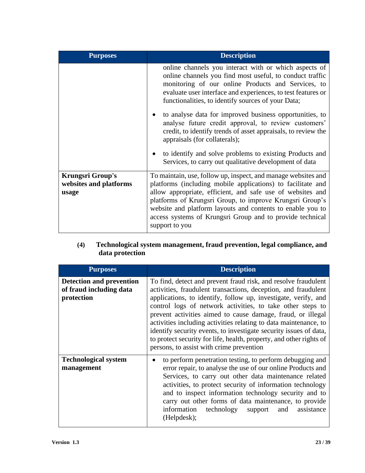| <b>Purposes</b>                                            | <b>Description</b>                                                                                                                                                                                                                                                                                                                                                                                  |
|------------------------------------------------------------|-----------------------------------------------------------------------------------------------------------------------------------------------------------------------------------------------------------------------------------------------------------------------------------------------------------------------------------------------------------------------------------------------------|
|                                                            | online channels you interact with or which aspects of<br>online channels you find most useful, to conduct traffic<br>monitoring of our online Products and Services, to<br>evaluate user interface and experiences, to test features or<br>functionalities, to identify sources of your Data;                                                                                                       |
|                                                            | to analyse data for improved business opportunities, to<br>$\bullet$<br>analyse future credit approval, to review customers'<br>credit, to identify trends of asset appraisals, to review the<br>appraisals (for collaterals);                                                                                                                                                                      |
|                                                            | to identify and solve problems to existing Products and<br>$\bullet$<br>Services, to carry out qualitative development of data                                                                                                                                                                                                                                                                      |
| <b>Krungsri Group's</b><br>websites and platforms<br>usage | To maintain, use, follow up, inspect, and manage websites and<br>platforms (including mobile applications) to facilitate and<br>allow appropriate, efficient, and safe use of websites and<br>platforms of Krungsri Group, to improve Krungsri Group's<br>website and platform layouts and contents to enable you to<br>access systems of Krungsri Group and to provide technical<br>support to you |

#### **(4) Technological system management, fraud prevention, legal compliance, and data protection**

| <b>Purposes</b>                                                          | <b>Description</b>                                                                                                                                                                                                                                                                                                                                                                                                                                                                                                                                                                          |
|--------------------------------------------------------------------------|---------------------------------------------------------------------------------------------------------------------------------------------------------------------------------------------------------------------------------------------------------------------------------------------------------------------------------------------------------------------------------------------------------------------------------------------------------------------------------------------------------------------------------------------------------------------------------------------|
| <b>Detection and prevention</b><br>of fraud including data<br>protection | To find, detect and prevent fraud risk, and resolve fraudulent<br>activities, fraudulent transactions, deception, and fraudulent<br>applications, to identify, follow up, investigate, verify, and<br>control logs of network activities, to take other steps to<br>prevent activities aimed to cause damage, fraud, or illegal<br>activities including activities relating to data maintenance, to<br>identify security events, to investigate security issues of data,<br>to protect security for life, health, property, and other rights of<br>persons, to assist with crime prevention |
| <b>Technological system</b><br>management                                | to perform penetration testing, to perform debugging and<br>$\bullet$<br>error repair, to analyse the use of our online Products and<br>Services, to carry out other data maintenance related<br>activities, to protect security of information technology<br>and to inspect information technology security and to<br>carry out other forms of data maintenance, to provide<br>technology<br>information<br>and<br>assistance<br>support<br>(Helpdesk);                                                                                                                                    |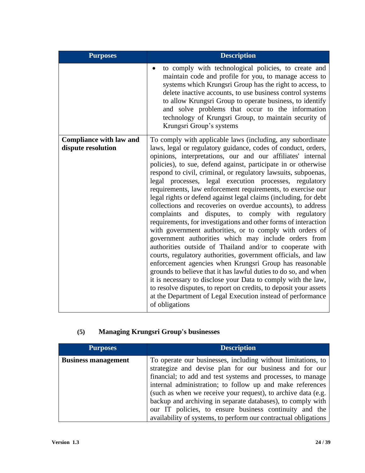| <b>Purposes</b>                                      | <b>Description</b>                                                                                                                                                                                                                                                                                                                                                                                                                                                                                                                                                                                                                                                                                                                                                                                                                                                                                                                                                                                                                                                                                                                                                                                                                                                                                                        |
|------------------------------------------------------|---------------------------------------------------------------------------------------------------------------------------------------------------------------------------------------------------------------------------------------------------------------------------------------------------------------------------------------------------------------------------------------------------------------------------------------------------------------------------------------------------------------------------------------------------------------------------------------------------------------------------------------------------------------------------------------------------------------------------------------------------------------------------------------------------------------------------------------------------------------------------------------------------------------------------------------------------------------------------------------------------------------------------------------------------------------------------------------------------------------------------------------------------------------------------------------------------------------------------------------------------------------------------------------------------------------------------|
|                                                      | to comply with technological policies, to create and<br>$\bullet$<br>maintain code and profile for you, to manage access to<br>systems which Krungsri Group has the right to access, to<br>delete inactive accounts, to use business control systems<br>to allow Krungsri Group to operate business, to identify<br>and solve problems that occur to the information<br>technology of Krungsri Group, to maintain security of<br>Krungsri Group's systems                                                                                                                                                                                                                                                                                                                                                                                                                                                                                                                                                                                                                                                                                                                                                                                                                                                                 |
| <b>Compliance with law and</b><br>dispute resolution | To comply with applicable laws (including, any subordinate<br>laws, legal or regulatory guidance, codes of conduct, orders,<br>opinions, interpretations, our and our affiliates' internal<br>policies), to sue, defend against, participate in or otherwise<br>respond to civil, criminal, or regulatory lawsuits, subpoenas,<br>legal processes, legal execution processes, regulatory<br>requirements, law enforcement requirements, to exercise our<br>legal rights or defend against legal claims (including, for debt<br>collections and recoveries on overdue accounts), to address<br>complaints and disputes, to comply with regulatory<br>requirements, for investigations and other forms of interaction<br>with government authorities, or to comply with orders of<br>government authorities which may include orders from<br>authorities outside of Thailand and/or to cooperate with<br>courts, regulatory authorities, government officials, and law<br>enforcement agencies when Krungsri Group has reasonable<br>grounds to believe that it has lawful duties to do so, and when<br>it is necessary to disclose your Data to comply with the law,<br>to resolve disputes, to report on credits, to deposit your assets<br>at the Department of Legal Execution instead of performance<br>of obligations |

## **(5) Managing Krungsri Group's businesses**

| <b>Purposes</b>            | <b>Description</b>                                              |
|----------------------------|-----------------------------------------------------------------|
| <b>Business management</b> | To operate our businesses, including without limitations, to    |
|                            | strategize and devise plan for our business and for our         |
|                            | financial; to add and test systems and processes, to manage     |
|                            | internal administration; to follow up and make references       |
|                            | (such as when we receive your request), to archive data (e.g.   |
|                            | backup and archiving in separate databases), to comply with     |
|                            | our IT policies, to ensure business continuity and the          |
|                            | availability of systems, to perform our contractual obligations |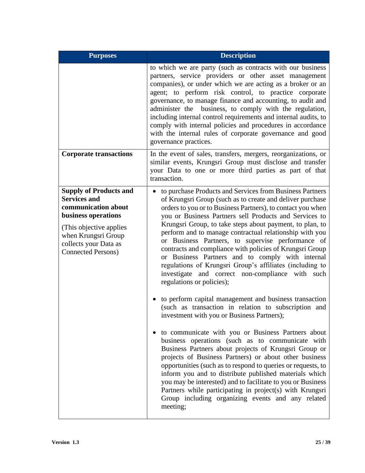| <b>Purposes</b>                                                                                                                                                                                            | <b>Description</b>                                                                                                                                                                                                                                                                                                                                                                                                                                                                                                                                                                                                                                                                                                                                                                                                                                                                                                                                                                                                                                                                                                                                                                                                                                                                                                                                                                                                         |
|------------------------------------------------------------------------------------------------------------------------------------------------------------------------------------------------------------|----------------------------------------------------------------------------------------------------------------------------------------------------------------------------------------------------------------------------------------------------------------------------------------------------------------------------------------------------------------------------------------------------------------------------------------------------------------------------------------------------------------------------------------------------------------------------------------------------------------------------------------------------------------------------------------------------------------------------------------------------------------------------------------------------------------------------------------------------------------------------------------------------------------------------------------------------------------------------------------------------------------------------------------------------------------------------------------------------------------------------------------------------------------------------------------------------------------------------------------------------------------------------------------------------------------------------------------------------------------------------------------------------------------------------|
|                                                                                                                                                                                                            | to which we are party (such as contracts with our business<br>partners, service providers or other asset management<br>companies), or under which we are acting as a broker or an<br>agent; to perform risk control, to practice corporate<br>governance, to manage finance and accounting, to audit and<br>administer the<br>business, to comply with the regulation,<br>including internal control requirements and internal audits, to<br>comply with internal policies and procedures in accordance<br>with the internal rules of corporate governance and good<br>governance practices.                                                                                                                                                                                                                                                                                                                                                                                                                                                                                                                                                                                                                                                                                                                                                                                                                               |
| <b>Corporate transactions</b>                                                                                                                                                                              | In the event of sales, transfers, mergers, reorganizations, or<br>similar events, Krungsri Group must disclose and transfer<br>your Data to one or more third parties as part of that<br>transaction.                                                                                                                                                                                                                                                                                                                                                                                                                                                                                                                                                                                                                                                                                                                                                                                                                                                                                                                                                                                                                                                                                                                                                                                                                      |
| <b>Supply of Products and</b><br><b>Services and</b><br>communication about<br>business operations<br>(This objective applies<br>when Krungsri Group<br>collects your Data as<br><b>Connected Persons)</b> | to purchase Products and Services from Business Partners<br>$\bullet$<br>of Krungsri Group (such as to create and deliver purchase<br>orders to you or to Business Partners), to contact you when<br>you or Business Partners sell Products and Services to<br>Krungsri Group, to take steps about payment, to plan, to<br>perform and to manage contractual relationship with you<br>or Business Partners, to supervise performance of<br>contracts and compliance with policies of Krungsri Group<br>or Business Partners and to comply with internal<br>regulations of Krungsri Group's affiliates (including to<br>and correct non-compliance with such<br>investigate<br>regulations or policies);<br>to perform capital management and business transaction<br>(such as transaction in relation to subscription and<br>investment with you or Business Partners);<br>to communicate with you or Business Partners about<br>business operations (such as to communicate with<br>Business Partners about projects of Krungsri Group or<br>projects of Business Partners) or about other business<br>opportunities (such as to respond to queries or requests, to<br>inform you and to distribute published materials which<br>you may be interested) and to facilitate to you or Business<br>Partners while participating in project(s) with Krungsri<br>Group including organizing events and any related<br>meeting; |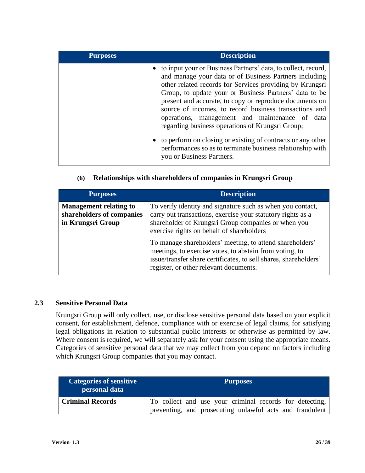| <b>Purposes</b> | <b>Description</b>                                                                                                                                                                                                                                                                                                                                                                                                                                                       |
|-----------------|--------------------------------------------------------------------------------------------------------------------------------------------------------------------------------------------------------------------------------------------------------------------------------------------------------------------------------------------------------------------------------------------------------------------------------------------------------------------------|
|                 | to input your or Business Partners' data, to collect, record,<br>and manage your data or of Business Partners including<br>other related records for Services providing by Krungsri<br>Group, to update your or Business Partners' data to be<br>present and accurate, to copy or reproduce documents on<br>source of incomes, to record business transactions and<br>operations, management and maintenance of data<br>regarding business operations of Krungsri Group; |
|                 | • to perform on closing or existing of contracts or any other<br>performances so as to terminate business relationship with<br>you or Business Partners.                                                                                                                                                                                                                                                                                                                 |

#### **(6) Relationships with shareholders of companies in Krungsri Group**

| <b>Purposes</b>                                                                 | <b>Description</b>                                                                                                                                                                                                                |
|---------------------------------------------------------------------------------|-----------------------------------------------------------------------------------------------------------------------------------------------------------------------------------------------------------------------------------|
| <b>Management relating to</b><br>shareholders of companies<br>in Krungsri Group | To verify identity and signature such as when you contact,<br>carry out transactions, exercise your statutory rights as a<br>shareholder of Krungsri Group companies or when you<br>exercise rights on behalf of shareholders     |
|                                                                                 | To manage shareholders' meeting, to attend shareholders'<br>meetings, to exercise votes, to abstain from voting, to<br>issue/transfer share certificates, to sell shares, shareholders'<br>register, or other relevant documents. |

#### **2.3 Sensitive Personal Data**

Krungsri Group will only collect, use, or disclose sensitive personal data based on your explicit consent, for establishment, defence, compliance with or exercise of legal claims, for satisfying legal obligations in relation to substantial public interests or otherwise as permitted by law. Where consent is required, we will separately ask for your consent using the appropriate means. Categories of sensitive personal data that we may collect from you depend on factors including which Krungsri Group companies that you may contact.

| <b>Categories of sensitive</b><br>personal data | <b>Purposes</b>                                          |
|-------------------------------------------------|----------------------------------------------------------|
| <b>Criminal Records</b>                         | To collect and use your criminal records for detecting,  |
|                                                 | preventing, and prosecuting unlawful acts and fraudulent |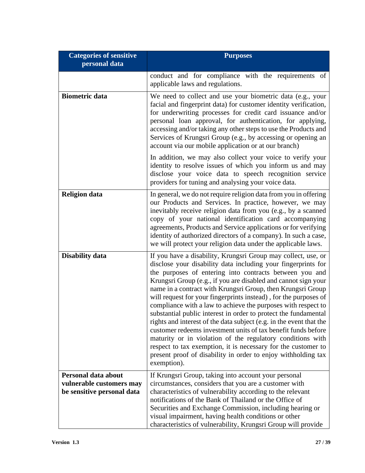| <b>Categories of sensitive</b><br>personal data                               | <b>Purposes</b>                                                                                                                                                                                                                                                                                                                                                                                                                                                                                                                                                                                                                                                                                                                                                                                                                                                                           |
|-------------------------------------------------------------------------------|-------------------------------------------------------------------------------------------------------------------------------------------------------------------------------------------------------------------------------------------------------------------------------------------------------------------------------------------------------------------------------------------------------------------------------------------------------------------------------------------------------------------------------------------------------------------------------------------------------------------------------------------------------------------------------------------------------------------------------------------------------------------------------------------------------------------------------------------------------------------------------------------|
|                                                                               | conduct and for compliance with the requirements of<br>applicable laws and regulations.                                                                                                                                                                                                                                                                                                                                                                                                                                                                                                                                                                                                                                                                                                                                                                                                   |
| <b>Biometric data</b>                                                         | We need to collect and use your biometric data (e.g., your<br>facial and fingerprint data) for customer identity verification,<br>for underwriting processes for credit card issuance and/or<br>personal loan approval, for authentication, for applying,<br>accessing and/or taking any other steps to use the Products and<br>Services of Krungsri Group (e.g., by accessing or opening an<br>account via our mobile application or at our branch)<br>In addition, we may also collect your voice to verify your<br>identity to resolve issues of which you inform us and may                                                                                                                                                                                                                                                                                                           |
|                                                                               | disclose your voice data to speech recognition service<br>providers for tuning and analysing your voice data.                                                                                                                                                                                                                                                                                                                                                                                                                                                                                                                                                                                                                                                                                                                                                                             |
| <b>Religion data</b>                                                          | In general, we do not require religion data from you in offering<br>our Products and Services. In practice, however, we may<br>inevitably receive religion data from you (e.g., by a scanned<br>copy of your national identification card accompanying<br>agreements, Products and Service applications or for verifying<br>identity of authorized directors of a company). In such a case,<br>we will protect your religion data under the applicable laws.                                                                                                                                                                                                                                                                                                                                                                                                                              |
| <b>Disability data</b>                                                        | If you have a disability, Krungsri Group may collect, use, or<br>disclose your disability data including your fingerprints for<br>the purposes of entering into contracts between you and<br>Krungsri Group (e.g., if you are disabled and cannot sign your<br>name in a contract with Krungsri Group, then Krungsri Group<br>will request for your fingerprints instead), for the purposes of<br>compliance with a law to achieve the purposes with respect to<br>substantial public interest in order to protect the fundamental<br>rights and interest of the data subject (e.g. in the event that the<br>customer redeems investment units of tax benefit funds before<br>maturity or in violation of the regulatory conditions with<br>respect to tax exemption, it is necessary for the customer to<br>present proof of disability in order to enjoy withholding tax<br>exemption). |
| Personal data about<br>vulnerable customers may<br>be sensitive personal data | If Krungsri Group, taking into account your personal<br>circumstances, considers that you are a customer with<br>characteristics of vulnerability according to the relevant<br>notifications of the Bank of Thailand or the Office of<br>Securities and Exchange Commission, including hearing or<br>visual impairment, having health conditions or other<br>characteristics of vulnerability, Krungsri Group will provide                                                                                                                                                                                                                                                                                                                                                                                                                                                                |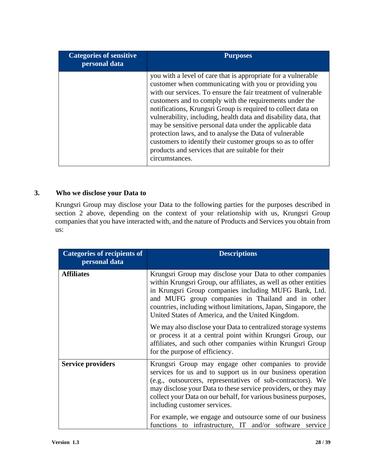| <b>Categories of sensitive</b><br>personal data | <b>Purposes</b>                                                                                                                                                                                                                                                                                                                                                                                                                                                                                                                                                                                                                                  |
|-------------------------------------------------|--------------------------------------------------------------------------------------------------------------------------------------------------------------------------------------------------------------------------------------------------------------------------------------------------------------------------------------------------------------------------------------------------------------------------------------------------------------------------------------------------------------------------------------------------------------------------------------------------------------------------------------------------|
|                                                 | you with a level of care that is appropriate for a vulnerable<br>customer when communicating with you or providing you<br>with our services. To ensure the fair treatment of vulnerable<br>customers and to comply with the requirements under the<br>notifications, Krungsri Group is required to collect data on<br>vulnerability, including, health data and disability data, that<br>may be sensitive personal data under the applicable data<br>protection laws, and to analyse the Data of vulnerable<br>customers to identify their customer groups so as to offer<br>products and services that are suitable for their<br>circumstances. |

### **3. Who we disclose your Data to**

Krungsri Group may disclose your Data to the following parties for the purposes described in section 2 above, depending on the context of your relationship with us, Krungsri Group companies that you have interacted with, and the nature of Products and Services you obtain from us:

| <b>Categories of recipients of</b><br>personal data | <b>Descriptions</b>                                                                                                                                                                                                                                                                                                                                                |
|-----------------------------------------------------|--------------------------------------------------------------------------------------------------------------------------------------------------------------------------------------------------------------------------------------------------------------------------------------------------------------------------------------------------------------------|
| <b>Affiliates</b>                                   | Krungsri Group may disclose your Data to other companies<br>within Krungsri Group, our affiliates, as well as other entities<br>in Krungsri Group companies including MUFG Bank, Ltd.<br>and MUFG group companies in Thailand and in other<br>countries, including without limitations, Japan, Singapore, the<br>United States of America, and the United Kingdom. |
|                                                     | We may also disclose your Data to centralized storage systems<br>or process it at a central point within Krungsri Group, our<br>affiliates, and such other companies within Krungsri Group<br>for the purpose of efficiency.                                                                                                                                       |
| <b>Service providers</b>                            | Krungsri Group may engage other companies to provide<br>services for us and to support us in our business operation<br>(e.g., outsourcers, representatives of sub-contractors). We<br>may disclose your Data to these service providers, or they may<br>collect your Data on our behalf, for various business purposes,<br>including customer services.            |
|                                                     | For example, we engage and outsource some of our business<br>functions to infrastructure, IT and/or software service                                                                                                                                                                                                                                               |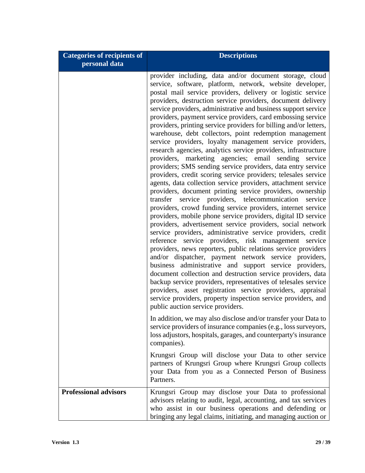| <b>Categories of recipients of</b><br>personal data | <b>Descriptions</b>                                                                                                                                                                                                                                                                                                                                                                                                                                                                                                                                                                                                                                                                                                                                                                                                                                                                                                                                                                                                                                                                                                                                                                                                                                                                                                                                                                                                                                                                                                                                                                                                                                                                                                                                                                                                                                  |
|-----------------------------------------------------|------------------------------------------------------------------------------------------------------------------------------------------------------------------------------------------------------------------------------------------------------------------------------------------------------------------------------------------------------------------------------------------------------------------------------------------------------------------------------------------------------------------------------------------------------------------------------------------------------------------------------------------------------------------------------------------------------------------------------------------------------------------------------------------------------------------------------------------------------------------------------------------------------------------------------------------------------------------------------------------------------------------------------------------------------------------------------------------------------------------------------------------------------------------------------------------------------------------------------------------------------------------------------------------------------------------------------------------------------------------------------------------------------------------------------------------------------------------------------------------------------------------------------------------------------------------------------------------------------------------------------------------------------------------------------------------------------------------------------------------------------------------------------------------------------------------------------------------------------|
|                                                     | provider including, data and/or document storage, cloud<br>service, software, platform, network, website developer,<br>postal mail service providers, delivery or logistic service<br>providers, destruction service providers, document delivery<br>service providers, administrative and business support service<br>providers, payment service providers, card embossing service<br>providers, printing service providers for billing and/or letters,<br>warehouse, debt collectors, point redemption management<br>service providers, loyalty management service providers,<br>research agencies, analytics service providers, infrastructure<br>providers, marketing agencies; email sending service<br>providers; SMS sending service providers, data entry service<br>providers, credit scoring service providers; telesales service<br>agents, data collection service providers, attachment service<br>providers, document printing service providers, ownership<br>transfer service providers, telecommunication<br>service<br>providers, crowd funding service providers, internet service<br>providers, mobile phone service providers, digital ID service<br>providers, advertisement service providers, social network<br>service providers, administrative service providers, credit<br>reference service providers, risk management service<br>providers, news reporters, public relations service providers<br>and/or dispatcher, payment network service providers,<br>business administrative and support service providers,<br>document collection and destruction service providers, data<br>backup service providers, representatives of telesales service<br>providers, asset registration service providers, appraisal<br>service providers, property inspection service providers, and<br>public auction service providers. |
|                                                     | In addition, we may also disclose and/or transfer your Data to<br>service providers of insurance companies (e.g., loss surveyors,<br>loss adjustors, hospitals, garages, and counterparty's insurance<br>companies).                                                                                                                                                                                                                                                                                                                                                                                                                                                                                                                                                                                                                                                                                                                                                                                                                                                                                                                                                                                                                                                                                                                                                                                                                                                                                                                                                                                                                                                                                                                                                                                                                                 |
|                                                     | Krungsri Group will disclose your Data to other service<br>partners of Krungsri Group where Krungsri Group collects<br>your Data from you as a Connected Person of Business<br>Partners.                                                                                                                                                                                                                                                                                                                                                                                                                                                                                                                                                                                                                                                                                                                                                                                                                                                                                                                                                                                                                                                                                                                                                                                                                                                                                                                                                                                                                                                                                                                                                                                                                                                             |
| <b>Professional advisors</b>                        | Krungsri Group may disclose your Data to professional<br>advisors relating to audit, legal, accounting, and tax services<br>who assist in our business operations and defending or<br>bringing any legal claims, initiating, and managing auction or                                                                                                                                                                                                                                                                                                                                                                                                                                                                                                                                                                                                                                                                                                                                                                                                                                                                                                                                                                                                                                                                                                                                                                                                                                                                                                                                                                                                                                                                                                                                                                                                 |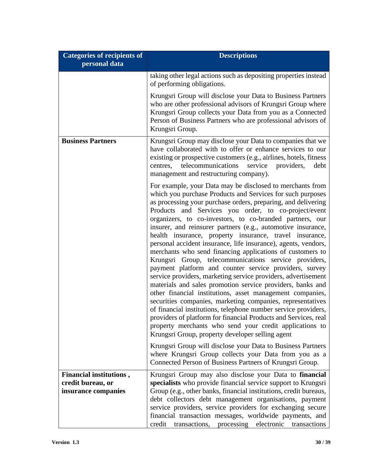| <b>Categories of recipients of</b><br>personal data                 | <b>Descriptions</b>                                                                                                                                                                                                                                                                                                                                                                                                                                                                                                                                                                                                                                                                                                                                                                                                                                                                                                                                                                                                                                                                                                                                                                                                                                                                                                                                                                         |
|---------------------------------------------------------------------|---------------------------------------------------------------------------------------------------------------------------------------------------------------------------------------------------------------------------------------------------------------------------------------------------------------------------------------------------------------------------------------------------------------------------------------------------------------------------------------------------------------------------------------------------------------------------------------------------------------------------------------------------------------------------------------------------------------------------------------------------------------------------------------------------------------------------------------------------------------------------------------------------------------------------------------------------------------------------------------------------------------------------------------------------------------------------------------------------------------------------------------------------------------------------------------------------------------------------------------------------------------------------------------------------------------------------------------------------------------------------------------------|
|                                                                     | taking other legal actions such as depositing properties instead<br>of performing obligations.                                                                                                                                                                                                                                                                                                                                                                                                                                                                                                                                                                                                                                                                                                                                                                                                                                                                                                                                                                                                                                                                                                                                                                                                                                                                                              |
|                                                                     | Krungsri Group will disclose your Data to Business Partners<br>who are other professional advisors of Krungsri Group where<br>Krungsri Group collects your Data from you as a Connected<br>Person of Business Partners who are professional advisors of<br>Krungsri Group.                                                                                                                                                                                                                                                                                                                                                                                                                                                                                                                                                                                                                                                                                                                                                                                                                                                                                                                                                                                                                                                                                                                  |
| <b>Business Partners</b>                                            | Krungsri Group may disclose your Data to companies that we<br>have collaborated with to offer or enhance services to our<br>existing or prospective customers (e.g., airlines, hotels, fitness<br>service<br>telecommunications<br>providers,<br>centres,<br>debt<br>management and restructuring company).                                                                                                                                                                                                                                                                                                                                                                                                                                                                                                                                                                                                                                                                                                                                                                                                                                                                                                                                                                                                                                                                                 |
|                                                                     | For example, your Data may be disclosed to merchants from<br>which you purchase Products and Services for such purposes<br>as processing your purchase orders, preparing, and delivering<br>Products and Services you order, to co-project/event<br>organizers, to co-investors, to co-branded partners, our<br>insurer, and reinsurer partners (e.g., automotive insurance,<br>health insurance, property insurance, travel insurance,<br>personal accident insurance, life insurance), agents, vendors,<br>merchants who send financing applications of customers to<br>Krungsri Group, telecommunications service providers,<br>payment platform and counter service providers, survey<br>service providers, marketing service providers, advertisement<br>materials and sales promotion service providers, banks and<br>other financial institutions, asset management companies,<br>securities companies, marketing companies, representatives<br>of financial institutions, telephone number service providers,<br>providers of platform for financial Products and Services, real<br>property merchants who send your credit applications to<br>Krungsri Group, property developer selling agent<br>Krungsri Group will disclose your Data to Business Partners<br>where Krungsri Group collects your Data from you as a<br>Connected Person of Business Partners of Krungsri Group. |
| Financial institutions,<br>credit bureau, or<br>insurance companies | Krungsri Group may also disclose your Data to financial<br>specialists who provide financial service support to Krungsri<br>Group (e.g., other banks, financial institutions, credit bureaus,<br>debt collectors debt management organisations, payment<br>service providers, service providers for exchanging secure<br>financial transaction messages, worldwide payments, and<br>credit transactions, processing electronic<br>transactions                                                                                                                                                                                                                                                                                                                                                                                                                                                                                                                                                                                                                                                                                                                                                                                                                                                                                                                                              |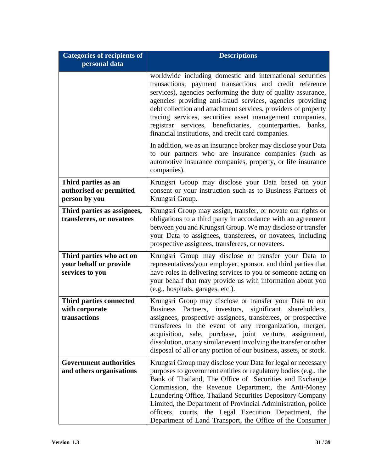| <b>Categories of recipients of</b><br>personal data                   | <b>Descriptions</b>                                                                                                                                                                                                                                                                                                                                                                                                                                                                                     |
|-----------------------------------------------------------------------|---------------------------------------------------------------------------------------------------------------------------------------------------------------------------------------------------------------------------------------------------------------------------------------------------------------------------------------------------------------------------------------------------------------------------------------------------------------------------------------------------------|
|                                                                       | worldwide including domestic and international securities<br>transactions, payment transactions and credit reference<br>services), agencies performing the duty of quality assurance,<br>agencies providing anti-fraud services, agencies providing<br>debt collection and attachment services, providers of property<br>tracing services, securities asset management companies,<br>registrar services, beneficiaries, counterparties,<br>banks,<br>financial institutions, and credit card companies. |
|                                                                       | In addition, we as an insurance broker may disclose your Data<br>to our partners who are insurance companies (such as<br>automotive insurance companies, property, or life insurance<br>companies).                                                                                                                                                                                                                                                                                                     |
| Third parties as an<br>authorised or permitted<br>person by you       | Krungsri Group may disclose your Data based on your<br>consent or your instruction such as to Business Partners of<br>Krungsri Group.                                                                                                                                                                                                                                                                                                                                                                   |
| Third parties as assignees,<br>transferees, or novatees               | Krungsri Group may assign, transfer, or novate our rights or<br>obligations to a third party in accordance with an agreement<br>between you and Krungsri Group. We may disclose or transfer<br>your Data to assignees, transferees, or novatees, including<br>prospective assignees, transferees, or novatees.                                                                                                                                                                                          |
| Third parties who act on<br>your behalf or provide<br>services to you | Krungsri Group may disclose or transfer your Data to<br>representatives/your employer, sponsor, and third parties that<br>have roles in delivering services to you or someone acting on<br>your behalf that may provide us with information about you<br>(e.g., hospitals, garages, etc.).                                                                                                                                                                                                              |
| Third parties connected<br>with corporate<br>transactions             | Krungsri Group may disclose or transfer your Data to our<br>Partners, investors,<br>significant<br><b>Business</b><br>shareholders,<br>assignees, prospective assignees, transferees, or prospective<br>transferees in the event of any reorganization, merger,<br>acquisition, sale, purchase, joint venture, assignment,<br>dissolution, or any similar event involving the transfer or other<br>disposal of all or any portion of our business, assets, or stock.                                    |
| <b>Government authorities</b><br>and others organisations             | Krungsri Group may disclose your Data for legal or necessary<br>purposes to government entities or regulatory bodies (e.g., the<br>Bank of Thailand, The Office of Securities and Exchange<br>Commission, the Revenue Department, the Anti-Money<br>Laundering Office, Thailand Securities Depository Company<br>Limited, the Department of Provincial Administration, police<br>officers, courts, the Legal Execution Department, the<br>Department of Land Transport, the Office of the Consumer      |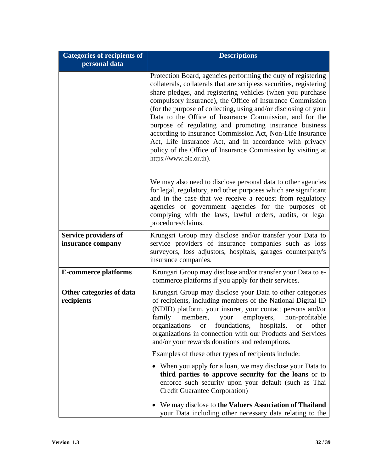| <b>Categories of recipients of</b><br>personal data | <b>Descriptions</b>                                                                                                                                                                                                                                                                                                                                                                                                                                                                                                                                                                                                                                                       |
|-----------------------------------------------------|---------------------------------------------------------------------------------------------------------------------------------------------------------------------------------------------------------------------------------------------------------------------------------------------------------------------------------------------------------------------------------------------------------------------------------------------------------------------------------------------------------------------------------------------------------------------------------------------------------------------------------------------------------------------------|
|                                                     | Protection Board, agencies performing the duty of registering<br>collaterals, collaterals that are scripless securities, registering<br>share pledges, and registering vehicles (when you purchase<br>compulsory insurance), the Office of Insurance Commission<br>(for the purpose of collecting, using and/or disclosing of your<br>Data to the Office of Insurance Commission, and for the<br>purpose of regulating and promoting insurance business<br>according to Insurance Commission Act, Non-Life Insurance<br>Act, Life Insurance Act, and in accordance with privacy<br>policy of the Office of Insurance Commission by visiting at<br>https://www.oic.or.th). |
|                                                     | We may also need to disclose personal data to other agencies<br>for legal, regulatory, and other purposes which are significant<br>and in the case that we receive a request from regulatory<br>agencies or government agencies for the purposes of<br>complying with the laws, lawful orders, audits, or legal<br>procedures/claims.                                                                                                                                                                                                                                                                                                                                     |
| <b>Service providers of</b><br>insurance company    | Krungsri Group may disclose and/or transfer your Data to<br>service providers of insurance companies such as loss<br>surveyors, loss adjustors, hospitals, garages counterparty's<br>insurance companies.                                                                                                                                                                                                                                                                                                                                                                                                                                                                 |
| <b>E-commerce platforms</b>                         | Krungsri Group may disclose and/or transfer your Data to e-<br>commerce platforms if you apply for their services.                                                                                                                                                                                                                                                                                                                                                                                                                                                                                                                                                        |
| Other categories of data<br>recipients              | Krungsri Group may disclose your Data to other categories<br>of recipients, including members of the National Digital ID<br>(NDID) platform, your insurer, your contact persons and/or<br>family members, your employers, non-profitable<br>foundations, hospitals,<br>organizations<br><sub>or</sub><br><b>or</b><br>other<br>organizations in connection with our Products and Services<br>and/or your rewards donations and redemptions.                                                                                                                                                                                                                               |
|                                                     | Examples of these other types of recipients include:                                                                                                                                                                                                                                                                                                                                                                                                                                                                                                                                                                                                                      |
|                                                     | When you apply for a loan, we may disclose your Data to<br>third parties to approve security for the loans or to<br>enforce such security upon your default (such as Thai<br><b>Credit Guarantee Corporation</b> )                                                                                                                                                                                                                                                                                                                                                                                                                                                        |
|                                                     | We may disclose to the Valuers Association of Thailand<br>your Data including other necessary data relating to the                                                                                                                                                                                                                                                                                                                                                                                                                                                                                                                                                        |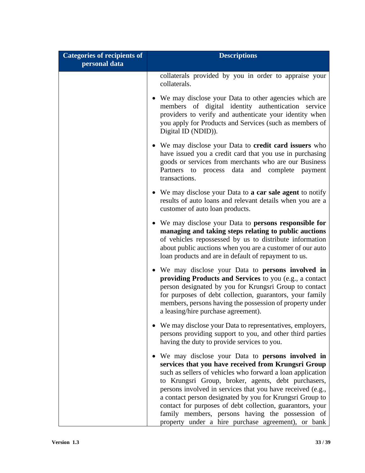| <b>Categories of recipients of</b><br>personal data | <b>Descriptions</b>                                                                                                                                                                                                                                                                                                                                                                                                                                                                                                             |
|-----------------------------------------------------|---------------------------------------------------------------------------------------------------------------------------------------------------------------------------------------------------------------------------------------------------------------------------------------------------------------------------------------------------------------------------------------------------------------------------------------------------------------------------------------------------------------------------------|
|                                                     | collaterals provided by you in order to appraise your<br>collaterals.                                                                                                                                                                                                                                                                                                                                                                                                                                                           |
|                                                     | • We may disclose your Data to other agencies which are<br>members of digital identity authentication service<br>providers to verify and authenticate your identity when<br>you apply for Products and Services (such as members of<br>Digital ID (NDID)).                                                                                                                                                                                                                                                                      |
|                                                     | • We may disclose your Data to credit card issuers who<br>have issued you a credit card that you use in purchasing<br>goods or services from merchants who are our Business<br>Partners to process data and complete payment<br>transactions.                                                                                                                                                                                                                                                                                   |
|                                                     | • We may disclose your Data to <b>a car sale agent</b> to notify<br>results of auto loans and relevant details when you are a<br>customer of auto loan products.                                                                                                                                                                                                                                                                                                                                                                |
|                                                     | • We may disclose your Data to persons responsible for<br>managing and taking steps relating to public auctions<br>of vehicles repossessed by us to distribute information<br>about public auctions when you are a customer of our auto<br>loan products and are in default of repayment to us.                                                                                                                                                                                                                                 |
|                                                     | • We may disclose your Data to persons involved in<br>providing Products and Services to you (e.g., a contact<br>person designated by you for Krungsri Group to contact<br>for purposes of debt collection, guarantors, your family<br>members, persons having the possession of property under<br>a leasing/hire purchase agreement).                                                                                                                                                                                          |
|                                                     | We may disclose your Data to representatives, employers,<br>persons providing support to you, and other third parties<br>having the duty to provide services to you.                                                                                                                                                                                                                                                                                                                                                            |
|                                                     | • We may disclose your Data to persons involved in<br>services that you have received from Krungsri Group<br>such as sellers of vehicles who forward a loan application<br>to Krungsri Group, broker, agents, debt purchasers,<br>persons involved in services that you have received (e.g.,<br>a contact person designated by you for Krungsri Group to<br>contact for purposes of debt collection, guarantors, your<br>family members, persons having the possession of<br>property under a hire purchase agreement), or bank |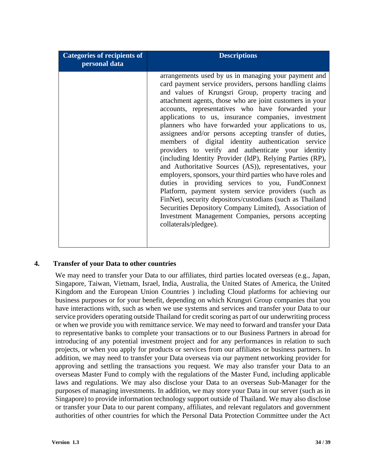| <b>Categories of recipients of</b><br>personal data | <b>Descriptions</b>                                                                                                                                                                                                                                                                                                                                                                                                                                                                                                                                                                                                                                                                                                                                                                                                                                                                                                                                                                                                                                                               |
|-----------------------------------------------------|-----------------------------------------------------------------------------------------------------------------------------------------------------------------------------------------------------------------------------------------------------------------------------------------------------------------------------------------------------------------------------------------------------------------------------------------------------------------------------------------------------------------------------------------------------------------------------------------------------------------------------------------------------------------------------------------------------------------------------------------------------------------------------------------------------------------------------------------------------------------------------------------------------------------------------------------------------------------------------------------------------------------------------------------------------------------------------------|
|                                                     | arrangements used by us in managing your payment and<br>card payment service providers, persons handling claims<br>and values of Krungsri Group, property tracing and<br>attachment agents, those who are joint customers in your<br>accounts, representatives who have forwarded your<br>applications to us, insurance companies, investment<br>planners who have forwarded your applications to us,<br>assignees and/or persons accepting transfer of duties,<br>members of digital identity authentication service<br>providers to verify and authenticate your identity<br>(including Identity Provider (IdP), Relying Parties (RP),<br>and Authoritative Sources (AS)), representatives, your<br>employers, sponsors, your third parties who have roles and<br>duties in providing services to you, FundConnext<br>Platform, payment system service providers (such as<br>FinNet), security depositors/custodians (such as Thailand<br>Securities Depository Company Limited), Association of<br>Investment Management Companies, persons accepting<br>collaterals/pledgee). |

#### **4. Transfer of your Data to other countries**

We may need to transfer your Data to our affiliates, third parties located overseas (e.g., Japan, Singapore, Taiwan, Vietnam, Israel, India, Australia, the United States of America, the United Kingdom and the European Union Countries ) including Cloud platforms for achieving our business purposes or for your benefit, depending on which Krungsri Group companies that you have interactions with, such as when we use systems and services and transfer your Data to our service providers operating outside Thailand for credit scoring as part of our underwriting process or when we provide you with remittance service. We may need to forward and transfer your Data to representative banks to complete your transactions or to our Business Partners in abroad for introducing of any potential investment project and for any performances in relation to such projects, or when you apply for products or services from our affiliates or business partners. In addition, we may need to transfer your Data overseas via our payment networking provider for approving and settling the transactions you request. We may also transfer your Data to an overseas Master Fund to comply with the regulations of the Master Fund, including applicable laws and regulations. We may also disclose your Data to an overseas Sub-Manager for the purposes of managing investments. In addition, we may store your Data in our server (such as in Singapore) to provide information technology support outside of Thailand. We may also disclose or transfer your Data to our parent company, affiliates, and relevant regulators and government authorities of other countries for which the Personal Data Protection Committee under the Act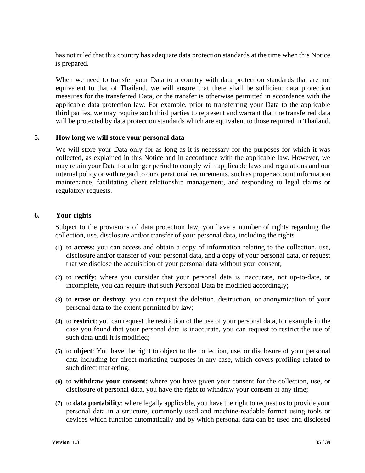has not ruled that this country has adequate data protection standards at the time when this Notice is prepared.

When we need to transfer your Data to a country with data protection standards that are not equivalent to that of Thailand, we will ensure that there shall be sufficient data protection measures for the transferred Data, or the transfer is otherwise permitted in accordance with the applicable data protection law. For example, prior to transferring your Data to the applicable third parties, we may require such third parties to represent and warrant that the transferred data will be protected by data protection standards which are equivalent to those required in Thailand.

#### **5. How long we will store your personal data**

We will store your Data only for as long as it is necessary for the purposes for which it was collected, as explained in this Notice and in accordance with the applicable law. However, we may retain your Data for a longer period to comply with applicable laws and regulations and our internal policy or with regard to our operational requirements, such as proper account information maintenance, facilitating client relationship management, and responding to legal claims or regulatory requests.

#### **6. Your rights**

Subject to the provisions of data protection law, you have a number of rights regarding the collection, use, disclosure and/or transfer of your personal data, including the rights

- **(1)** to **access**: you can access and obtain a copy of information relating to the collection, use, disclosure and/or transfer of your personal data, and a copy of your personal data, or request that we disclose the acquisition of your personal data without your consent;
- **(2)** to **rectify**: where you consider that your personal data is inaccurate, not up-to-date, or incomplete, you can require that such Personal Data be modified accordingly;
- **(3)** to **erase or destroy**: you can request the deletion, destruction, or anonymization of your personal data to the extent permitted by law;
- **(4)** to **restrict**: you can request the restriction of the use of your personal data, for example in the case you found that your personal data is inaccurate, you can request to restrict the use of such data until it is modified;
- **(5)** to **object**: You have the right to object to the collection, use, or disclosure of your personal data including for direct marketing purposes in any case, which covers profiling related to such direct marketing;
- **(6)** to **withdraw your consent**: where you have given your consent for the collection, use, or disclosure of personal data, you have the right to withdraw your consent at any time;
- **(7)** to **data portability**: where legally applicable, you have the right to request us to provide your personal data in a structure, commonly used and machine-readable format using tools or devices which function automatically and by which personal data can be used and disclosed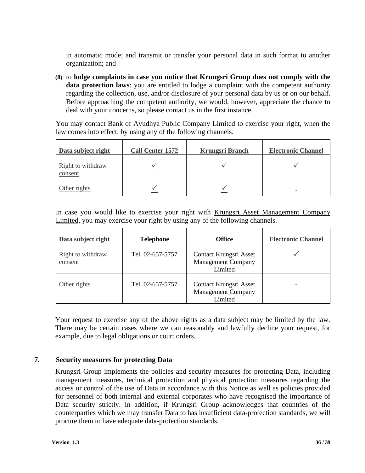in automatic mode; and transmit or transfer your personal data in such format to another organization; and

**(8)** to **lodge complaints in case you notice that Krungsri Group does not comply with the data protection laws**: you are entitled to lodge a complaint with the competent authority regarding the collection, use, and/or disclosure of your personal data by us or on our behalf. Before approaching the competent authority, we would, however, appreciate the chance to deal with your concerns, so please contact us in the first instance.

You may contact Bank of Ayudhya Public Company Limited to exercise your right, when the law comes into effect, by using any of the following channels.

| Data subject right           | <b>Call Center 1572</b> | <b>Krungsri Branch</b> | <b>Electronic Channel</b> |
|------------------------------|-------------------------|------------------------|---------------------------|
| Right to withdraw<br>consent |                         |                        |                           |
| Other rights                 |                         |                        |                           |

In case you would like to exercise your right with Krungsri Asset Management Company Limited, you may exercise your right by using any of the following channels.

| Data subject right           | <b>Telephone</b> | <b>Office</b>                                                  | <b>Electronic Channel</b> |
|------------------------------|------------------|----------------------------------------------------------------|---------------------------|
| Right to withdraw<br>consent | Tel. 02-657-5757 | Contact Krungsri Asset<br><b>Management Company</b><br>Limited |                           |
| Other rights                 | Tel. 02-657-5757 | Contact Krungsri Asset<br><b>Management Company</b><br>Limited | ۰                         |

Your request to exercise any of the above rights as a data subject may be limited by the law. There may be certain cases where we can reasonably and lawfully decline your request, for example, due to legal obligations or court orders.

#### **7. Security measures for protecting Data**

Krungsri Group implements the policies and security measures for protecting Data, including management measures, technical protection and physical protection measures regarding the access or control of the use of Data in accordance with this Notice as well as policies provided for personnel of both internal and external corporates who have recognised the importance of Data security strictly. In addition, if Krungsri Group acknowledges that countries of the counterparties which we may transfer Data to has insufficient data-protection standards, we will procure them to have adequate data-protection standards.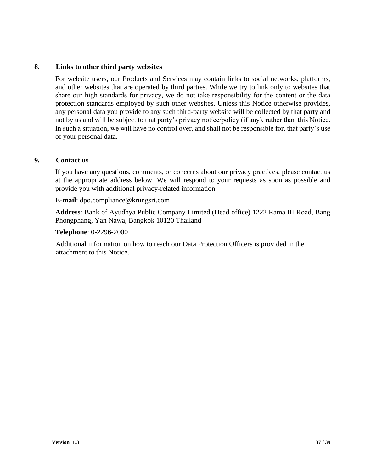#### **8. Links to other third party websites**

For website users, our Products and Services may contain links to social networks, platforms, and other websites that are operated by third parties. While we try to link only to websites that share our high standards for privacy, we do not take responsibility for the content or the data protection standards employed by such other websites. Unless this Notice otherwise provides, any personal data you provide to any such third-party website will be collected by that party and not by us and will be subject to that party's privacy notice/policy (if any), rather than this Notice. In such a situation, we will have no control over, and shall not be responsible for, that party's use of your personal data.

#### **9. Contact us**

If you have any questions, comments, or concerns about our privacy practices, please contact us at the appropriate address below. We will respond to your requests as soon as possible and provide you with additional privacy-related information.

**E-mail**: dpo.compliance@krungsri.com

**Address**: Bank of Ayudhya Public Company Limited (Head office) 1222 Rama III Road, Bang Phongphang, Yan Nawa, Bangkok 10120 Thailand

#### **Telephone**: 0-2296-2000

Additional information on how to reach our Data Protection Officers is provided in the attachment to this Notice.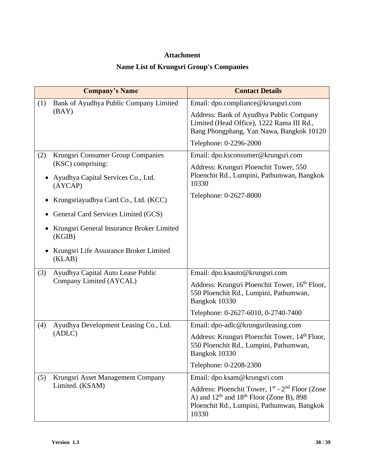#### **Attachment**

# **Name List of Krungsri Group's Companies**

|           | <b>Company's Name</b>                                   | <b>Contact Details</b>                                                                                                                                             |
|-----------|---------------------------------------------------------|--------------------------------------------------------------------------------------------------------------------------------------------------------------------|
| (1)       | Bank of Ayudhya Public Company Limited                  | Email: dpo.compliance@krungsri.com                                                                                                                                 |
|           | (BAY)                                                   | Address: Bank of Ayudhya Public Company<br>Limited (Head Office), 1222 Rama III Rd.,<br>Bang Phongphang, Yan Nawa, Bangkok 10120                                   |
|           |                                                         | Telephone: 0-2296-2000                                                                                                                                             |
| (2)       | Krungsri Consumer Group Companies                       | Email: dpo.ksconsumer@krungsri.com                                                                                                                                 |
|           | (KSC) comprising:<br>Ayudhya Capital Services Co., Ltd. | Address: Krungsri Ploenchit Tower, 550<br>Ploenchit Rd., Lumpini, Pathumwan, Bangkok<br>10330                                                                      |
|           | (AYCAP)                                                 | Telephone: 0-2627-8000                                                                                                                                             |
| $\bullet$ | Krungsriayudhya Card Co., Ltd. (KCC)                    |                                                                                                                                                                    |
| $\bullet$ | General Card Services Limited (GCS)                     |                                                                                                                                                                    |
|           | Krungsri General Insurance Broker Limited<br>(KGIB)     |                                                                                                                                                                    |
|           | Krungsri Life Assurance Broker Limited<br>(KLAB)        |                                                                                                                                                                    |
| (3)       | Ayudhya Capital Auto Lease Public                       | Email: dpo.ksauto@krungsri.com                                                                                                                                     |
|           | Company Limited (AYCAL)                                 | Address: Krungsri Ploenchit Tower, 16 <sup>th</sup> Floor,<br>550 Ploenchit Rd., Lumpini, Pathumwan,<br>Bangkok 10330                                              |
|           |                                                         | Telephone: 0-2627-6010, 0-2740-7400                                                                                                                                |
| (4)       | Ayudhya Development Leasing Co., Ltd.                   | Email: dpo-adlc@krungsrileasing.com                                                                                                                                |
| (ADLC)    |                                                         | Address: Krungsri Ploenchit Tower, 14th Floor,<br>550 Ploenchit Rd., Lumpini, Pathumwan,<br>Bangkok 10330                                                          |
|           |                                                         | Telephone: 0-2208-2300                                                                                                                                             |
| (5)       | Krungsri Asset Management Company                       | Email: dpo.ksam@krungsri.com                                                                                                                                       |
|           | Limited. (KSAM)                                         | Address: Ploenchit Tower, 1st - 2 <sup>nd</sup> Floor (Zone<br>A) and $12th$ and $18th$ Floor (Zone B), 898<br>Ploenchit Rd., Lumpini, Pathumwan, Bangkok<br>10330 |